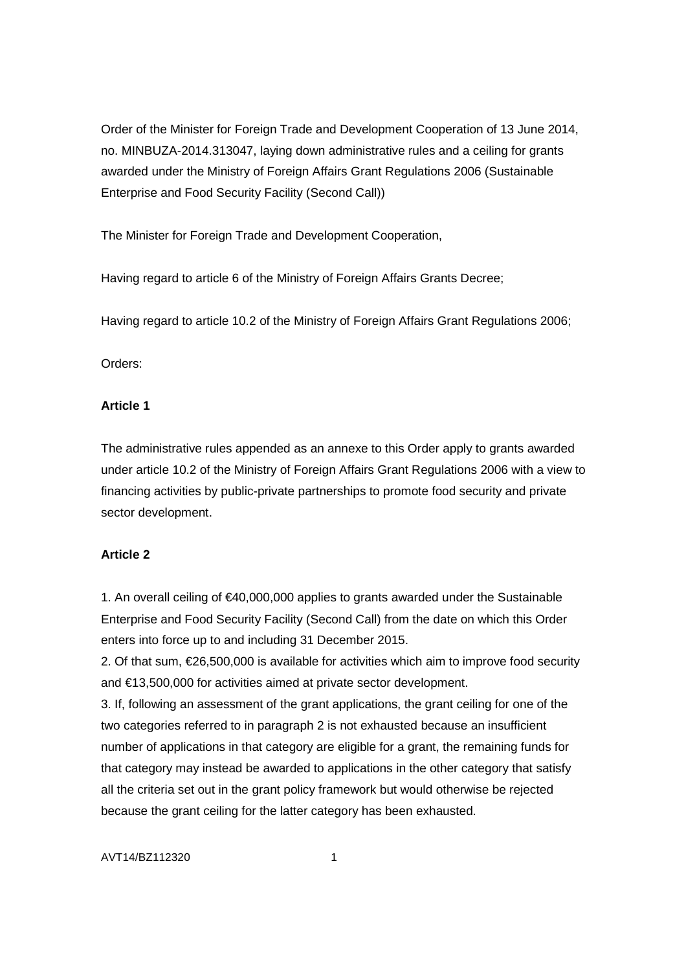Order of the Minister for Foreign Trade and Development Cooperation of 13 June 2014, no. MINBUZA-2014.313047, laying down administrative rules and a ceiling for grants awarded under the Ministry of Foreign Affairs Grant Regulations 2006 (Sustainable Enterprise and Food Security Facility (Second Call))

The Minister for Foreign Trade and Development Cooperation,

Having regard to article 6 of the Ministry of Foreign Affairs Grants Decree;

Having regard to article 10.2 of the Ministry of Foreign Affairs Grant Regulations 2006;

Orders:

# **Article 1**

The administrative rules appended as an annexe to this Order apply to grants awarded under article 10.2 of the Ministry of Foreign Affairs Grant Regulations 2006 with a view to financing activities by public-private partnerships to promote food security and private sector development.

# **Article 2**

1. An overall ceiling of €40,000,000 applies to grants awarded under the Sustainable Enterprise and Food Security Facility (Second Call) from the date on which this Order enters into force up to and including 31 December 2015.

2. Of that sum, €26,500,000 is available for activities which aim to improve food security and €13,500,000 for activities aimed at private sector development.

3. If, following an assessment of the grant applications, the grant ceiling for one of the two categories referred to in paragraph 2 is not exhausted because an insufficient number of applications in that category are eligible for a grant, the remaining funds for that category may instead be awarded to applications in the other category that satisfy all the criteria set out in the grant policy framework but would otherwise be rejected because the grant ceiling for the latter category has been exhausted.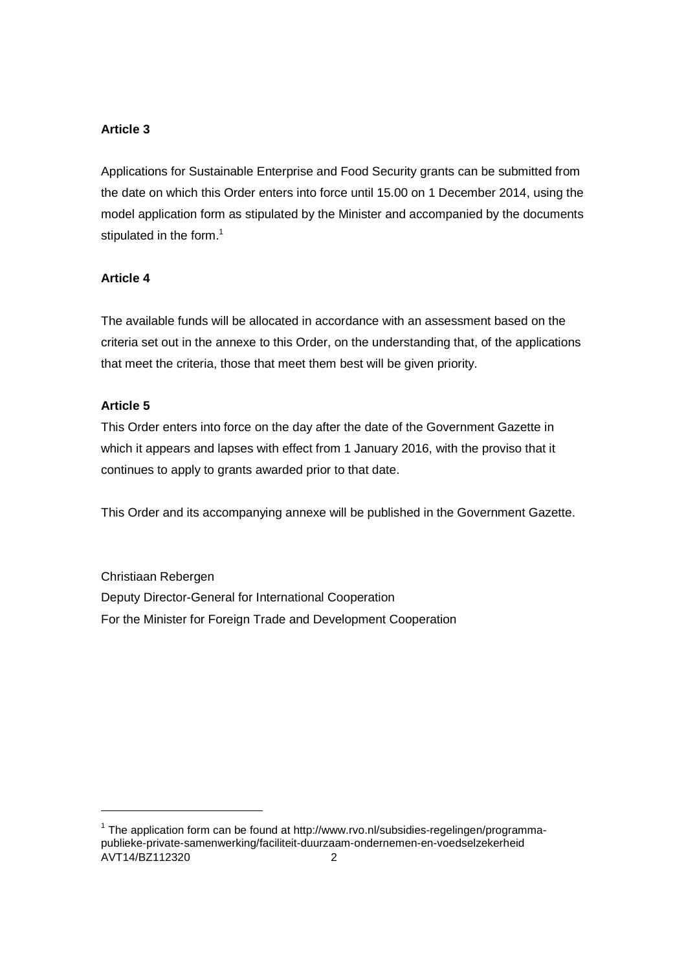# **Article 3**

Applications for Sustainable Enterprise and Food Security grants can be submitted from the date on which this Order enters into force until 15.00 on 1 December 2014, using the model application form as stipulated by the Minister and accompanied by the documents stipulated in the form. $<sup>1</sup>$ </sup>

# **Article 4**

The available funds will be allocated in accordance with an assessment based on the criteria set out in the annexe to this Order, on the understanding that, of the applications that meet the criteria, those that meet them best will be given priority.

# **Article 5**

-

This Order enters into force on the day after the date of the Government Gazette in which it appears and lapses with effect from 1 January 2016, with the proviso that it continues to apply to grants awarded prior to that date.

This Order and its accompanying annexe will be published in the Government Gazette.

Christiaan Rebergen Deputy Director-General for International Cooperation For the Minister for Foreign Trade and Development Cooperation

AVT14/BZ112320 2 <sup>1</sup> The application form can be found at http://www.rvo.nl/subsidies-regelingen/programmapublieke-private-samenwerking/faciliteit-duurzaam-ondernemen-en-voedselzekerheid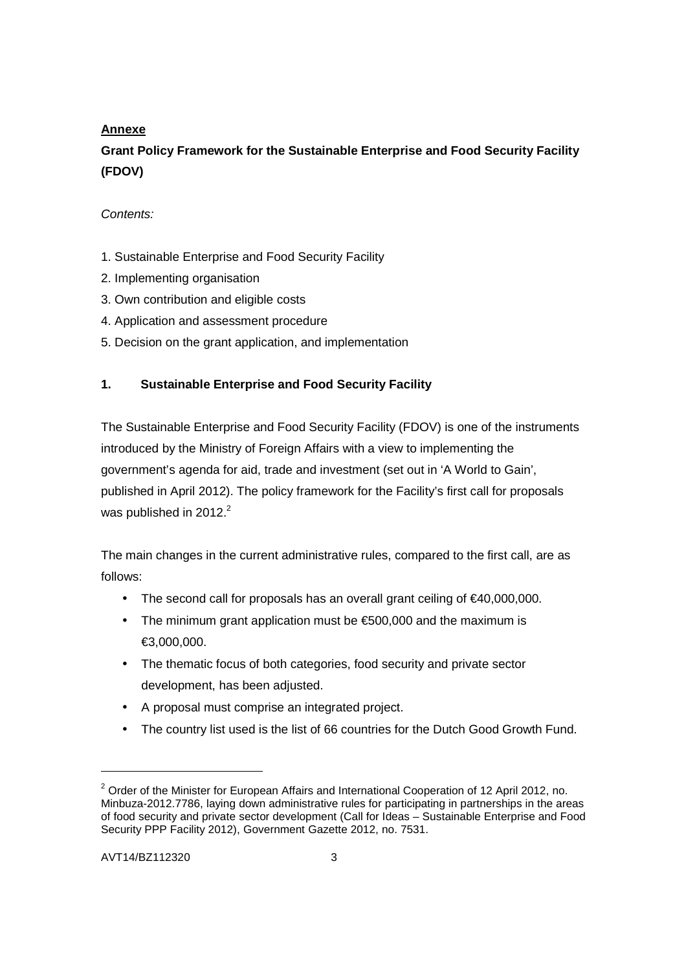# **Annexe**

# **Grant Policy Framework for the Sustainable Enterprise and Food Security Facility (FDOV)**

# Contents:

- 1. Sustainable Enterprise and Food Security Facility
- 2. Implementing organisation
- 3. Own contribution and eligible costs
- 4. Application and assessment procedure
- 5. Decision on the grant application, and implementation

# **1. Sustainable Enterprise and Food Security Facility**

The Sustainable Enterprise and Food Security Facility (FDOV) is one of the instruments introduced by the Ministry of Foreign Affairs with a view to implementing the government's agenda for aid, trade and investment (set out in 'A World to Gain', published in April 2012). The policy framework for the Facility's first call for proposals was published in 2012. $2^2$ 

The main changes in the current administrative rules, compared to the first call, are as follows:

- The second call for proposals has an overall grant ceiling of €40,000,000.
- The minimum grant application must be €500,000 and the maximum is €3,000,000.
- The thematic focus of both categories, food security and private sector development, has been adjusted.
- A proposal must comprise an integrated project.
- The country list used is the list of 66 countries for the Dutch Good Growth Fund.

1

 $2$  Order of the Minister for European Affairs and International Cooperation of 12 April 2012, no. Minbuza-2012.7786, laying down administrative rules for participating in partnerships in the areas of food security and private sector development (Call for Ideas – Sustainable Enterprise and Food Security PPP Facility 2012), Government Gazette 2012, no. 7531.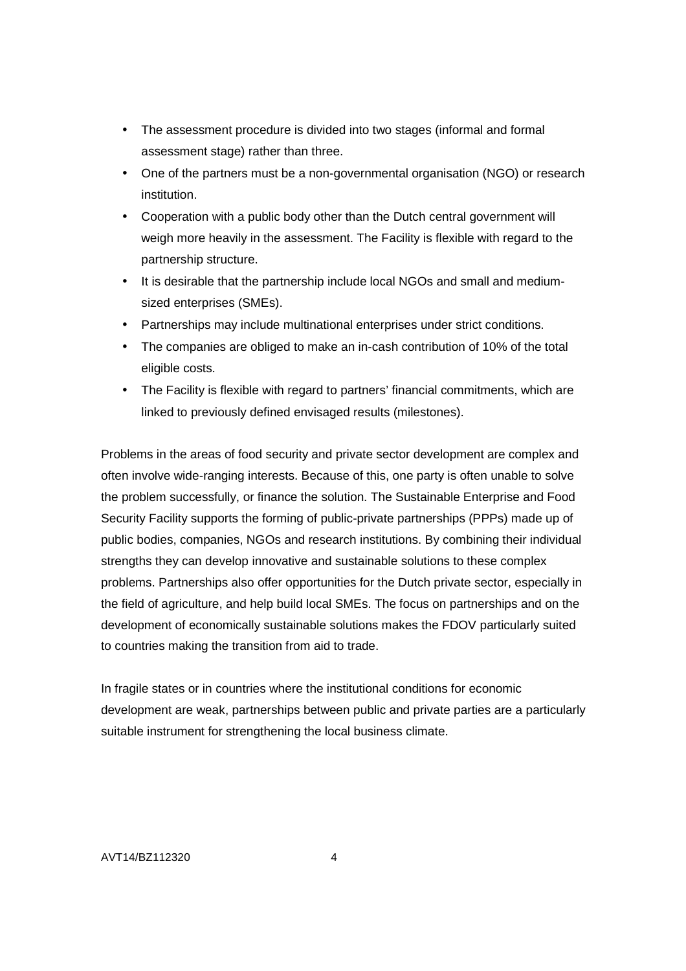- The assessment procedure is divided into two stages (informal and formal assessment stage) rather than three.
- One of the partners must be a non-governmental organisation (NGO) or research institution.
- Cooperation with a public body other than the Dutch central government will weigh more heavily in the assessment. The Facility is flexible with regard to the partnership structure.
- It is desirable that the partnership include local NGOs and small and mediumsized enterprises (SMEs).
- Partnerships may include multinational enterprises under strict conditions.
- The companies are obliged to make an in-cash contribution of 10% of the total eligible costs.
- The Facility is flexible with regard to partners' financial commitments, which are linked to previously defined envisaged results (milestones).

Problems in the areas of food security and private sector development are complex and often involve wide-ranging interests. Because of this, one party is often unable to solve the problem successfully, or finance the solution. The Sustainable Enterprise and Food Security Facility supports the forming of public-private partnerships (PPPs) made up of public bodies, companies, NGOs and research institutions. By combining their individual strengths they can develop innovative and sustainable solutions to these complex problems. Partnerships also offer opportunities for the Dutch private sector, especially in the field of agriculture, and help build local SMEs. The focus on partnerships and on the development of economically sustainable solutions makes the FDOV particularly suited to countries making the transition from aid to trade.

In fragile states or in countries where the institutional conditions for economic development are weak, partnerships between public and private parties are a particularly suitable instrument for strengthening the local business climate.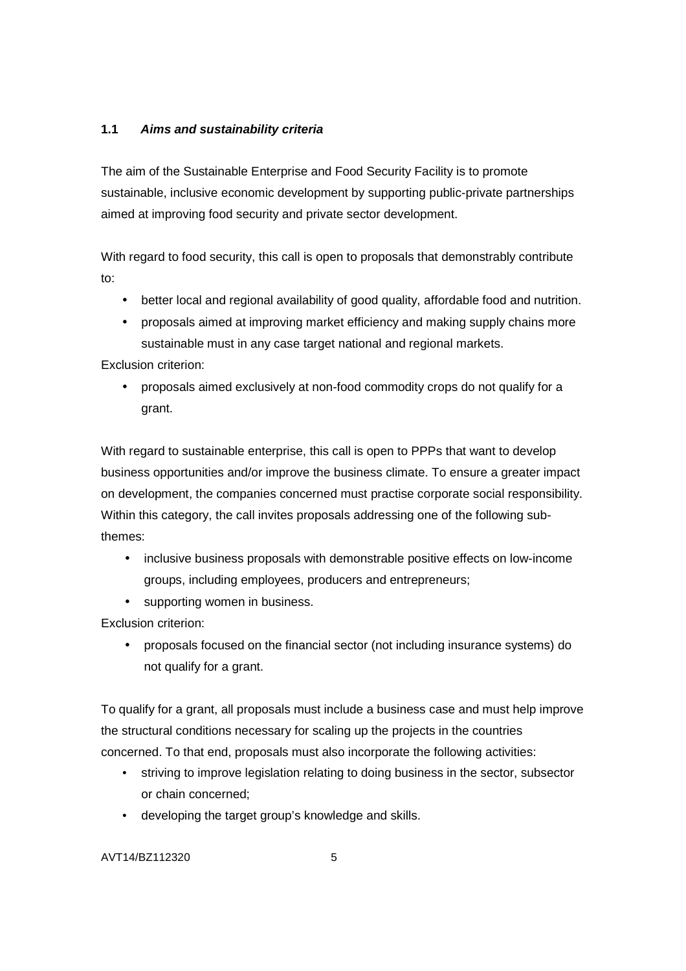# **1.1 Aims and sustainability criteria**

The aim of the Sustainable Enterprise and Food Security Facility is to promote sustainable, inclusive economic development by supporting public-private partnerships aimed at improving food security and private sector development.

With regard to food security, this call is open to proposals that demonstrably contribute to:

- better local and regional availability of good quality, affordable food and nutrition.
- proposals aimed at improving market efficiency and making supply chains more sustainable must in any case target national and regional markets.

Exclusion criterion:

• proposals aimed exclusively at non-food commodity crops do not qualify for a grant.

With regard to sustainable enterprise, this call is open to PPPs that want to develop business opportunities and/or improve the business climate. To ensure a greater impact on development, the companies concerned must practise corporate social responsibility. Within this category, the call invites proposals addressing one of the following subthemes:

- inclusive business proposals with demonstrable positive effects on low-income groups, including employees, producers and entrepreneurs;
- supporting women in business.

Exclusion criterion:

• proposals focused on the financial sector (not including insurance systems) do not qualify for a grant.

To qualify for a grant, all proposals must include a business case and must help improve the structural conditions necessary for scaling up the projects in the countries concerned. To that end, proposals must also incorporate the following activities:

- striving to improve legislation relating to doing business in the sector, subsector or chain concerned;
- developing the target group's knowledge and skills.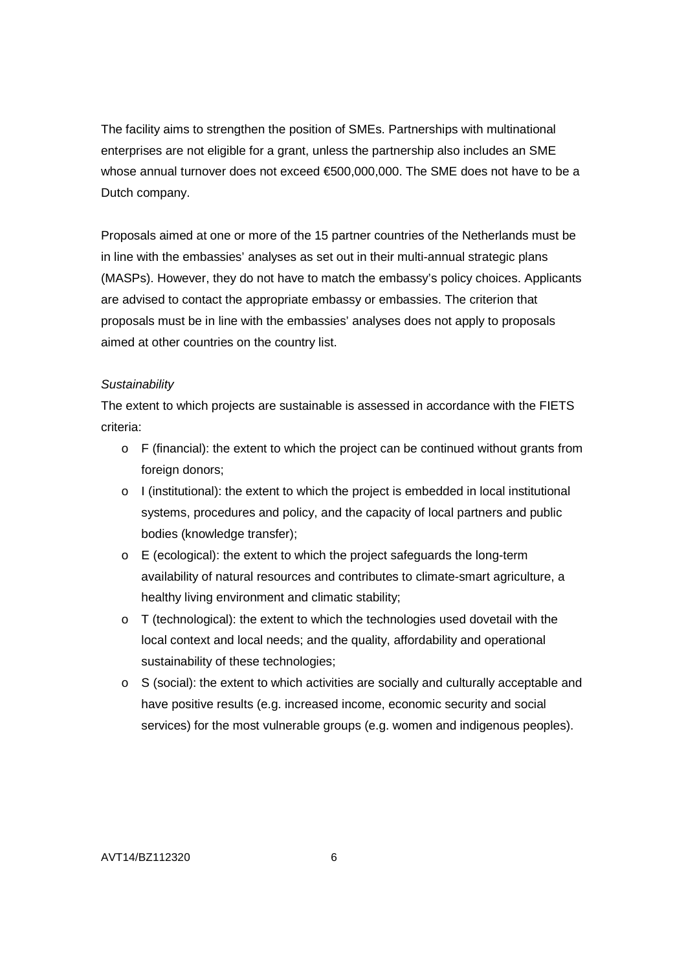The facility aims to strengthen the position of SMEs. Partnerships with multinational enterprises are not eligible for a grant, unless the partnership also includes an SME whose annual turnover does not exceed €500,000,000. The SME does not have to be a Dutch company.

Proposals aimed at one or more of the 15 partner countries of the Netherlands must be in line with the embassies' analyses as set out in their multi-annual strategic plans (MASPs). However, they do not have to match the embassy's policy choices. Applicants are advised to contact the appropriate embassy or embassies. The criterion that proposals must be in line with the embassies' analyses does not apply to proposals aimed at other countries on the country list.

#### **Sustainability**

The extent to which projects are sustainable is assessed in accordance with the FIETS criteria:

- $\circ$  F (financial): the extent to which the project can be continued without grants from foreign donors;
- $\circ$  I (institutional): the extent to which the project is embedded in local institutional systems, procedures and policy, and the capacity of local partners and public bodies (knowledge transfer);
- o E (ecological): the extent to which the project safeguards the long-term availability of natural resources and contributes to climate-smart agriculture, a healthy living environment and climatic stability;
- o T (technological): the extent to which the technologies used dovetail with the local context and local needs; and the quality, affordability and operational sustainability of these technologies;
- o S (social): the extent to which activities are socially and culturally acceptable and have positive results (e.g. increased income, economic security and social services) for the most vulnerable groups (e.g. women and indigenous peoples).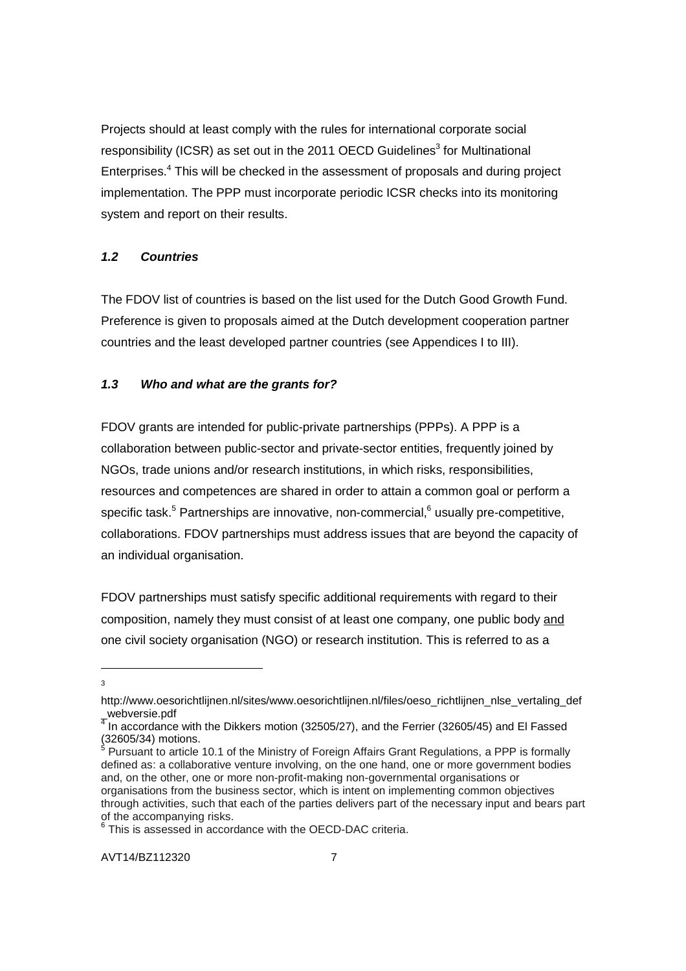Projects should at least comply with the rules for international corporate social responsibility (ICSR) as set out in the 2011 OECD Guidelines<sup>3</sup> for Multinational Enterprises.<sup>4</sup> This will be checked in the assessment of proposals and during project implementation. The PPP must incorporate periodic ICSR checks into its monitoring system and report on their results.

# **1.2 Countries**

The FDOV list of countries is based on the list used for the Dutch Good Growth Fund. Preference is given to proposals aimed at the Dutch development cooperation partner countries and the least developed partner countries (see Appendices I to III).

### **1.3 Who and what are the grants for?**

FDOV grants are intended for public-private partnerships (PPPs). A PPP is a collaboration between public-sector and private-sector entities, frequently joined by NGOs, trade unions and/or research institutions, in which risks, responsibilities, resources and competences are shared in order to attain a common goal or perform a specific task.<sup>5</sup> Partnerships are innovative, non-commercial,<sup>6</sup> usually pre-competitive, collaborations. FDOV partnerships must address issues that are beyond the capacity of an individual organisation.

FDOV partnerships must satisfy specific additional requirements with regard to their composition, namely they must consist of at least one company, one public body and one civil society organisation (NGO) or research institution. This is referred to as a

<sup>-</sup>3

http://www.oesorichtlijnen.nl/sites/www.oesorichtlijnen.nl/files/oeso\_richtlijnen\_nlse\_vertaling\_def  $\frac{1}{4}$  lp accordance

In accordance with the Dikkers motion (32505/27), and the Ferrier (32605/45) and El Fassed  $(32605/34)$  motions.

Pursuant to article 10.1 of the Ministry of Foreign Affairs Grant Regulations, a PPP is formally defined as: a collaborative venture involving, on the one hand, one or more government bodies and, on the other, one or more non-profit-making non-governmental organisations or organisations from the business sector, which is intent on implementing common objectives through activities, such that each of the parties delivers part of the necessary input and bears part of the accompanying risks.

 $^{\circ}$  This is assessed in accordance with the OECD-DAC criteria.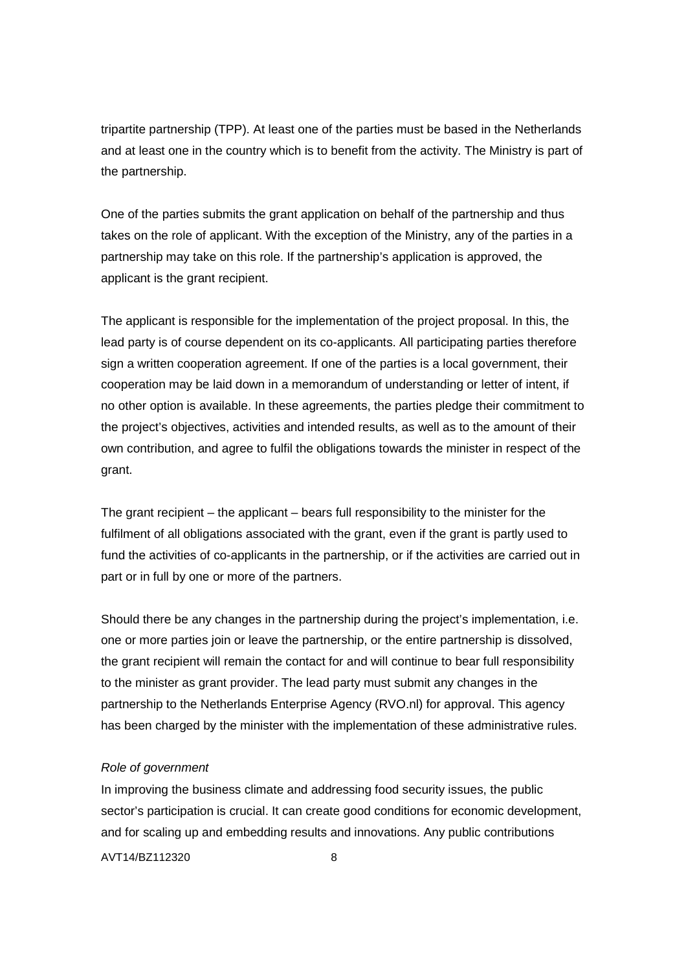tripartite partnership (TPP). At least one of the parties must be based in the Netherlands and at least one in the country which is to benefit from the activity. The Ministry is part of the partnership.

One of the parties submits the grant application on behalf of the partnership and thus takes on the role of applicant. With the exception of the Ministry, any of the parties in a partnership may take on this role. If the partnership's application is approved, the applicant is the grant recipient.

The applicant is responsible for the implementation of the project proposal. In this, the lead party is of course dependent on its co-applicants. All participating parties therefore sign a written cooperation agreement. If one of the parties is a local government, their cooperation may be laid down in a memorandum of understanding or letter of intent, if no other option is available. In these agreements, the parties pledge their commitment to the project's objectives, activities and intended results, as well as to the amount of their own contribution, and agree to fulfil the obligations towards the minister in respect of the grant.

The grant recipient – the applicant – bears full responsibility to the minister for the fulfilment of all obligations associated with the grant, even if the grant is partly used to fund the activities of co-applicants in the partnership, or if the activities are carried out in part or in full by one or more of the partners.

Should there be any changes in the partnership during the project's implementation, i.e. one or more parties join or leave the partnership, or the entire partnership is dissolved, the grant recipient will remain the contact for and will continue to bear full responsibility to the minister as grant provider. The lead party must submit any changes in the partnership to the Netherlands Enterprise Agency (RVO.nl) for approval. This agency has been charged by the minister with the implementation of these administrative rules.

#### Role of government

In improving the business climate and addressing food security issues, the public sector's participation is crucial. It can create good conditions for economic development, and for scaling up and embedding results and innovations. Any public contributions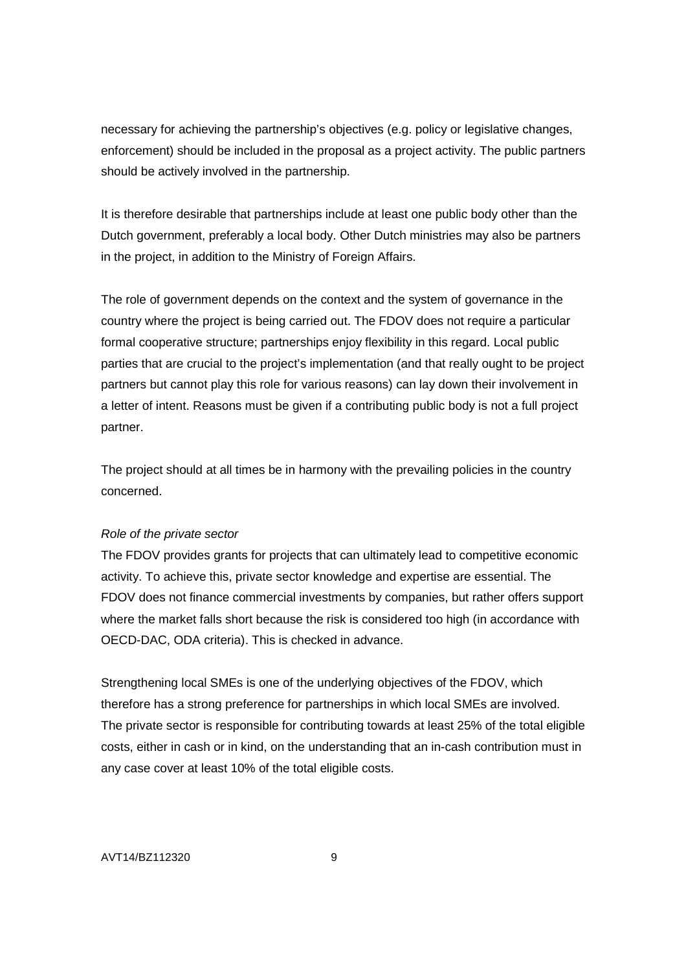necessary for achieving the partnership's objectives (e.g. policy or legislative changes, enforcement) should be included in the proposal as a project activity. The public partners should be actively involved in the partnership.

It is therefore desirable that partnerships include at least one public body other than the Dutch government, preferably a local body. Other Dutch ministries may also be partners in the project, in addition to the Ministry of Foreign Affairs.

The role of government depends on the context and the system of governance in the country where the project is being carried out. The FDOV does not require a particular formal cooperative structure; partnerships enjoy flexibility in this regard. Local public parties that are crucial to the project's implementation (and that really ought to be project partners but cannot play this role for various reasons) can lay down their involvement in a letter of intent. Reasons must be given if a contributing public body is not a full project partner.

The project should at all times be in harmony with the prevailing policies in the country concerned.

#### Role of the private sector

The FDOV provides grants for projects that can ultimately lead to competitive economic activity. To achieve this, private sector knowledge and expertise are essential. The FDOV does not finance commercial investments by companies, but rather offers support where the market falls short because the risk is considered too high (in accordance with OECD-DAC, ODA criteria). This is checked in advance.

Strengthening local SMEs is one of the underlying objectives of the FDOV, which therefore has a strong preference for partnerships in which local SMEs are involved. The private sector is responsible for contributing towards at least 25% of the total eligible costs, either in cash or in kind, on the understanding that an in-cash contribution must in any case cover at least 10% of the total eligible costs.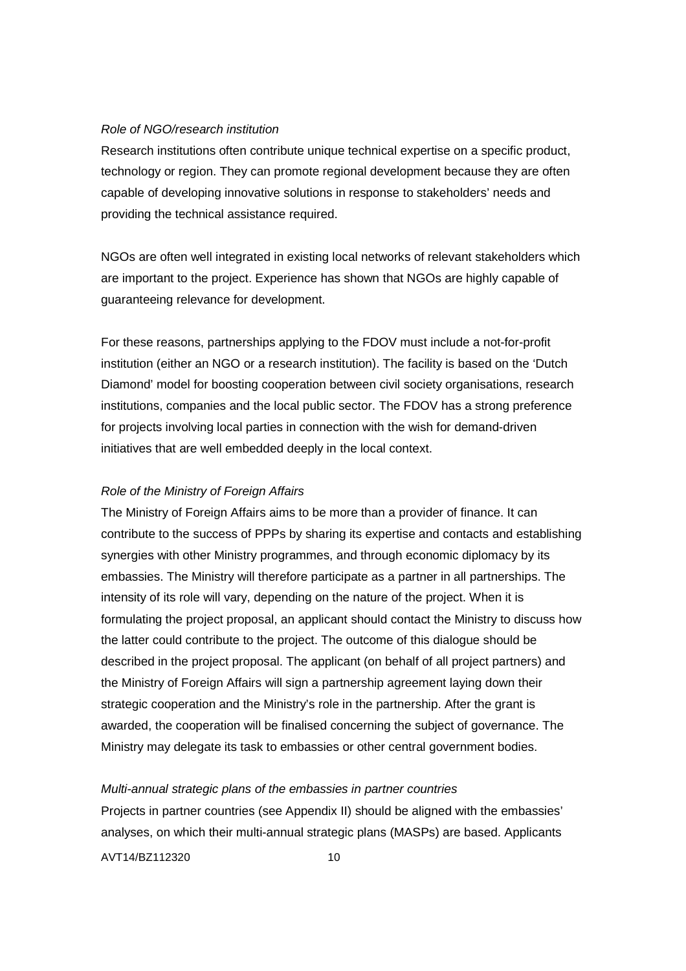#### Role of NGO/research institution

Research institutions often contribute unique technical expertise on a specific product, technology or region. They can promote regional development because they are often capable of developing innovative solutions in response to stakeholders' needs and providing the technical assistance required.

NGOs are often well integrated in existing local networks of relevant stakeholders which are important to the project. Experience has shown that NGOs are highly capable of guaranteeing relevance for development.

For these reasons, partnerships applying to the FDOV must include a not-for-profit institution (either an NGO or a research institution). The facility is based on the 'Dutch Diamond' model for boosting cooperation between civil society organisations, research institutions, companies and the local public sector. The FDOV has a strong preference for projects involving local parties in connection with the wish for demand-driven initiatives that are well embedded deeply in the local context.

#### Role of the Ministry of Foreign Affairs

The Ministry of Foreign Affairs aims to be more than a provider of finance. It can contribute to the success of PPPs by sharing its expertise and contacts and establishing synergies with other Ministry programmes, and through economic diplomacy by its embassies. The Ministry will therefore participate as a partner in all partnerships. The intensity of its role will vary, depending on the nature of the project. When it is formulating the project proposal, an applicant should contact the Ministry to discuss how the latter could contribute to the project. The outcome of this dialogue should be described in the project proposal. The applicant (on behalf of all project partners) and the Ministry of Foreign Affairs will sign a partnership agreement laying down their strategic cooperation and the Ministry's role in the partnership. After the grant is awarded, the cooperation will be finalised concerning the subject of governance. The Ministry may delegate its task to embassies or other central government bodies.

#### Multi-annual strategic plans of the embassies in partner countries

Projects in partner countries (see Appendix II) should be aligned with the embassies' analyses, on which their multi-annual strategic plans (MASPs) are based. Applicants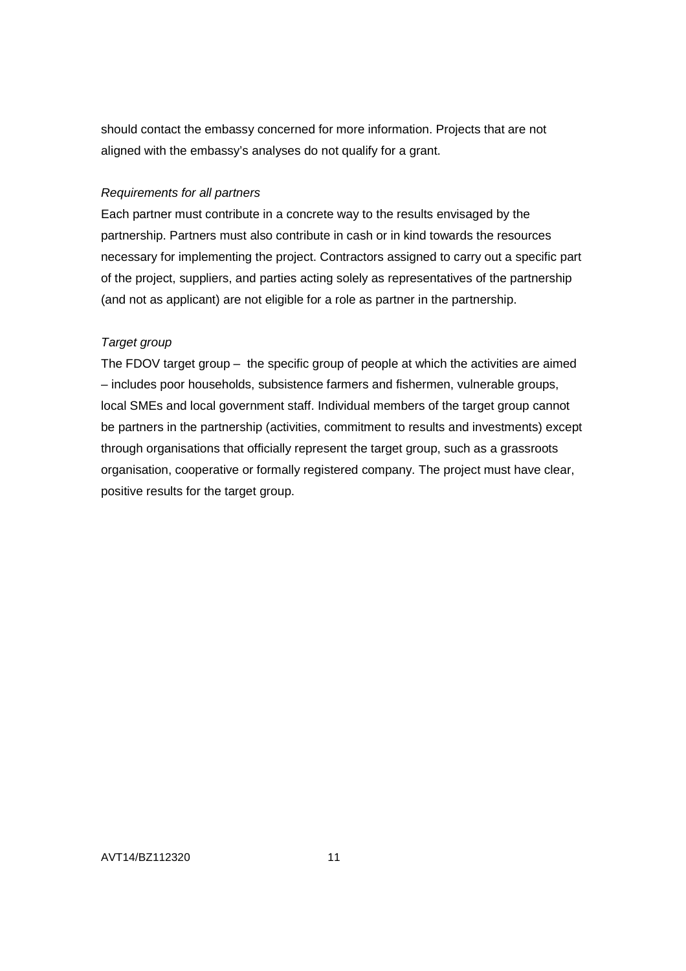should contact the embassy concerned for more information. Projects that are not aligned with the embassy's analyses do not qualify for a grant.

### Requirements for all partners

Each partner must contribute in a concrete way to the results envisaged by the partnership. Partners must also contribute in cash or in kind towards the resources necessary for implementing the project. Contractors assigned to carry out a specific part of the project, suppliers, and parties acting solely as representatives of the partnership (and not as applicant) are not eligible for a role as partner in the partnership.

# Target group

The FDOV target group – the specific group of people at which the activities are aimed – includes poor households, subsistence farmers and fishermen, vulnerable groups, local SMEs and local government staff. Individual members of the target group cannot be partners in the partnership (activities, commitment to results and investments) except through organisations that officially represent the target group, such as a grassroots organisation, cooperative or formally registered company. The project must have clear, positive results for the target group.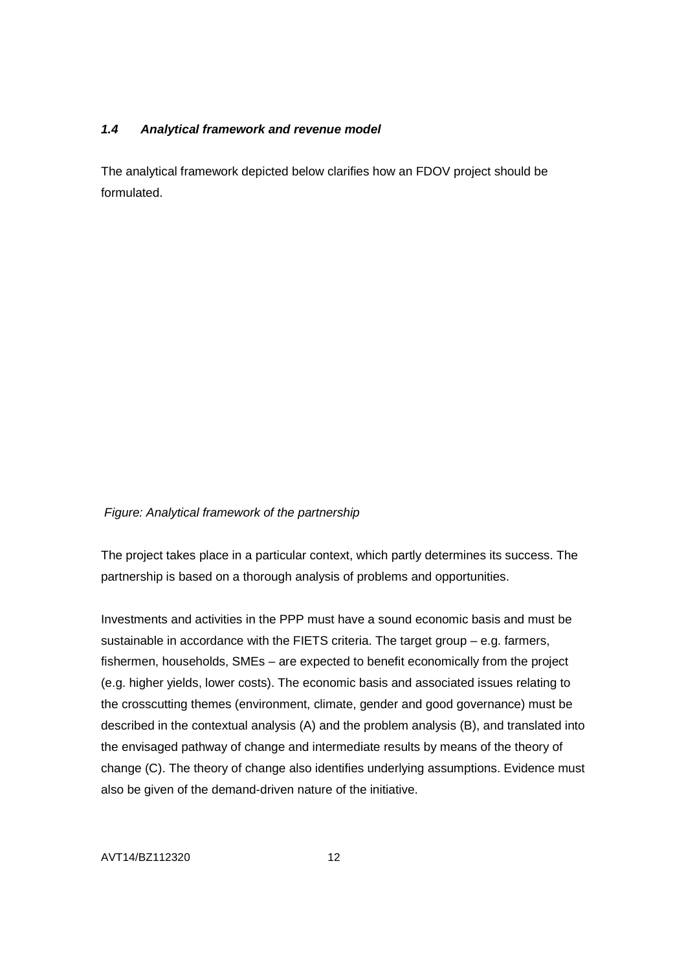### **1.4 Analytical framework and revenue model**

The analytical framework depicted below clarifies how an FDOV project should be formulated.

### Figure: Analytical framework of the partnership

The project takes place in a particular context, which partly determines its success. The partnership is based on a thorough analysis of problems and opportunities.

Investments and activities in the PPP must have a sound economic basis and must be sustainable in accordance with the FIETS criteria. The target group – e.g. farmers, fishermen, households, SMEs – are expected to benefit economically from the project (e.g. higher yields, lower costs). The economic basis and associated issues relating to the crosscutting themes (environment, climate, gender and good governance) must be described in the contextual analysis (A) and the problem analysis (B), and translated into the envisaged pathway of change and intermediate results by means of the theory of change (C). The theory of change also identifies underlying assumptions. Evidence must also be given of the demand-driven nature of the initiative.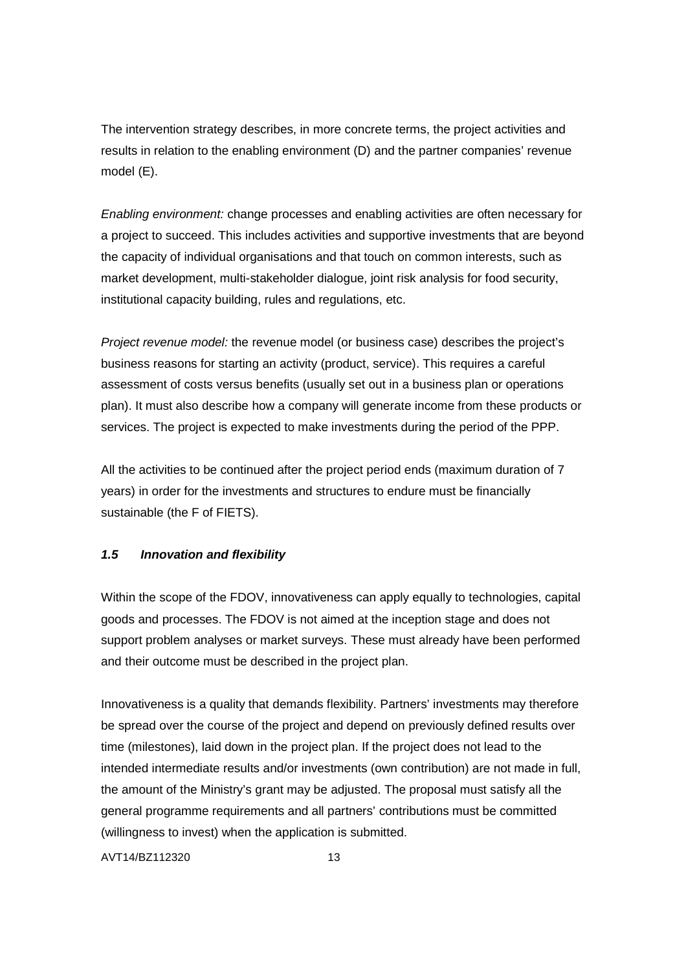The intervention strategy describes, in more concrete terms, the project activities and results in relation to the enabling environment (D) and the partner companies' revenue model (E).

Enabling environment: change processes and enabling activities are often necessary for a project to succeed. This includes activities and supportive investments that are beyond the capacity of individual organisations and that touch on common interests, such as market development, multi-stakeholder dialogue, joint risk analysis for food security, institutional capacity building, rules and regulations, etc.

Project revenue model: the revenue model (or business case) describes the project's business reasons for starting an activity (product, service). This requires a careful assessment of costs versus benefits (usually set out in a business plan or operations plan). It must also describe how a company will generate income from these products or services. The project is expected to make investments during the period of the PPP.

All the activities to be continued after the project period ends (maximum duration of 7 years) in order for the investments and structures to endure must be financially sustainable (the F of FIETS).

### **1.5 Innovation and flexibility**

Within the scope of the FDOV, innovativeness can apply equally to technologies, capital goods and processes. The FDOV is not aimed at the inception stage and does not support problem analyses or market surveys. These must already have been performed and their outcome must be described in the project plan.

Innovativeness is a quality that demands flexibility. Partners' investments may therefore be spread over the course of the project and depend on previously defined results over time (milestones), laid down in the project plan. If the project does not lead to the intended intermediate results and/or investments (own contribution) are not made in full, the amount of the Ministry's grant may be adjusted. The proposal must satisfy all the general programme requirements and all partners' contributions must be committed (willingness to invest) when the application is submitted.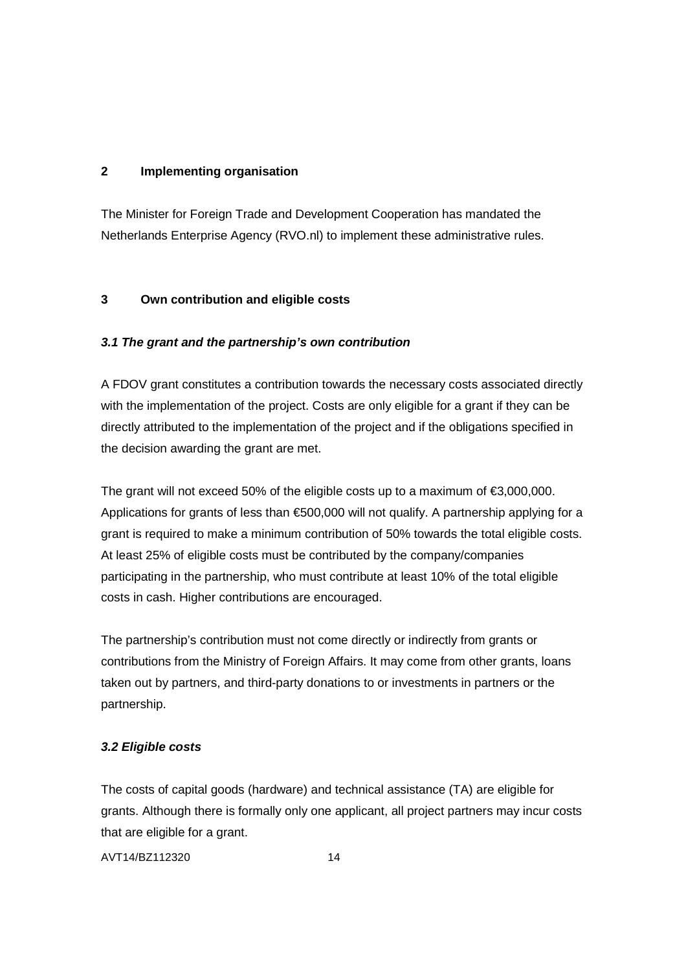# **2 Implementing organisation**

The Minister for Foreign Trade and Development Cooperation has mandated the Netherlands Enterprise Agency (RVO.nl) to implement these administrative rules.

# **3 Own contribution and eligible costs**

# **3.1 The grant and the partnership's own contribution**

A FDOV grant constitutes a contribution towards the necessary costs associated directly with the implementation of the project. Costs are only eligible for a grant if they can be directly attributed to the implementation of the project and if the obligations specified in the decision awarding the grant are met.

The grant will not exceed 50% of the eligible costs up to a maximum of  $\epsilon$ 3,000,000. Applications for grants of less than €500,000 will not qualify. A partnership applying for a grant is required to make a minimum contribution of 50% towards the total eligible costs. At least 25% of eligible costs must be contributed by the company/companies participating in the partnership, who must contribute at least 10% of the total eligible costs in cash. Higher contributions are encouraged.

The partnership's contribution must not come directly or indirectly from grants or contributions from the Ministry of Foreign Affairs. It may come from other grants, loans taken out by partners, and third-party donations to or investments in partners or the partnership.

# **3.2 Eligible costs**

The costs of capital goods (hardware) and technical assistance (TA) are eligible for grants. Although there is formally only one applicant, all project partners may incur costs that are eligible for a grant.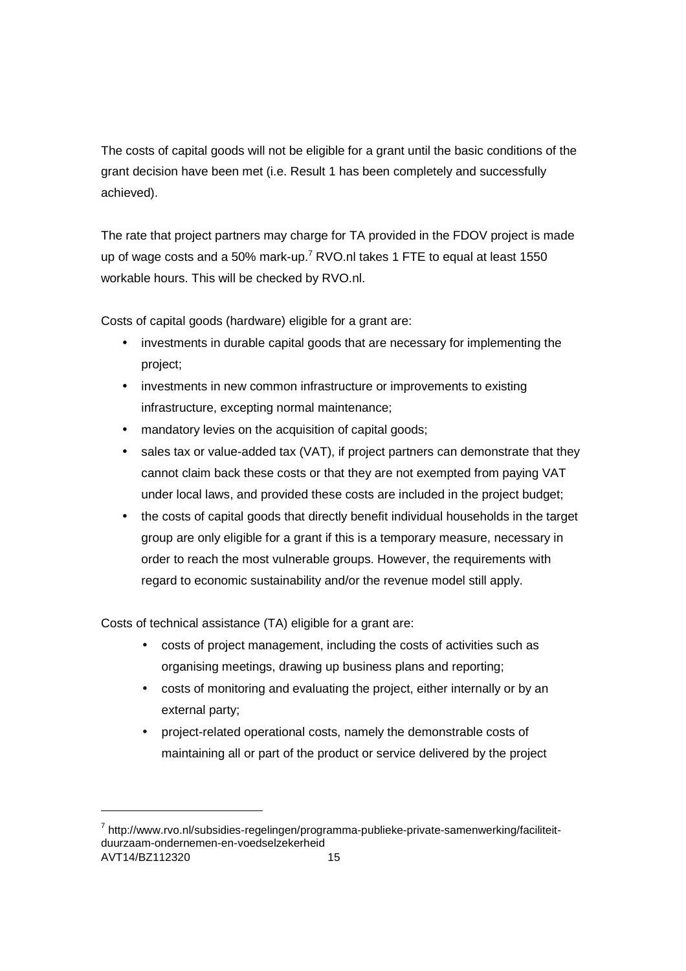The costs of capital goods will not be eligible for a grant until the basic conditions of the grant decision have been met (i.e. Result 1 has been completely and successfully achieved).

The rate that project partners may charge for TA provided in the FDOV project is made up of wage costs and a 50% mark-up.<sup>7</sup> RVO.nl takes 1 FTE to equal at least 1550 workable hours. This will be checked by RVO.nl.

Costs of capital goods (hardware) eligible for a grant are:

- investments in durable capital goods that are necessary for implementing the project;
- investments in new common infrastructure or improvements to existing infrastructure, excepting normal maintenance;
- mandatory levies on the acquisition of capital goods;
- sales tax or value-added tax (VAT), if project partners can demonstrate that they cannot claim back these costs or that they are not exempted from paying VAT under local laws, and provided these costs are included in the project budget;
- the costs of capital goods that directly benefit individual households in the target group are only eligible for a grant if this is a temporary measure, necessary in order to reach the most vulnerable groups. However, the requirements with regard to economic sustainability and/or the revenue model still apply.

Costs of technical assistance (TA) eligible for a grant are:

-

- costs of project management, including the costs of activities such as organising meetings, drawing up business plans and reporting;
- costs of monitoring and evaluating the project, either internally or by an external party;
- project-related operational costs, namely the demonstrable costs of maintaining all or part of the product or service delivered by the project

AVT14/BZ112320 15 <sup>7</sup> http://www.rvo.nl/subsidies-regelingen/programma-publieke-private-samenwerking/faciliteitduurzaam-ondernemen-en-voedselzekerheid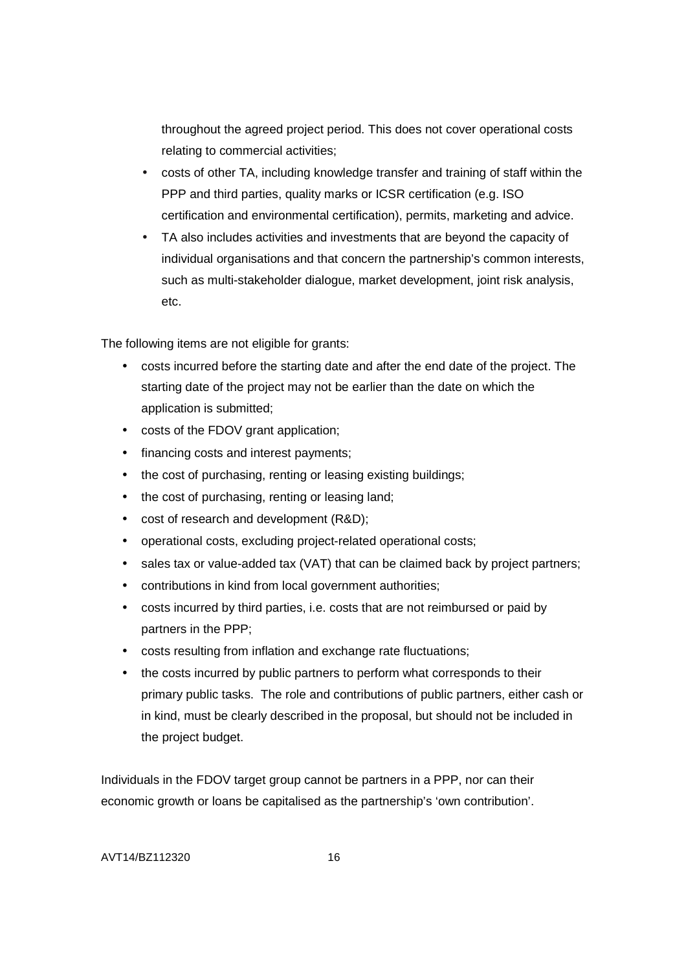throughout the agreed project period. This does not cover operational costs relating to commercial activities;

- costs of other TA, including knowledge transfer and training of staff within the PPP and third parties, quality marks or ICSR certification (e.g. ISO certification and environmental certification), permits, marketing and advice.
- TA also includes activities and investments that are beyond the capacity of individual organisations and that concern the partnership's common interests, such as multi-stakeholder dialogue, market development, joint risk analysis, etc.

The following items are not eligible for grants:

- costs incurred before the starting date and after the end date of the project. The starting date of the project may not be earlier than the date on which the application is submitted;
- costs of the FDOV grant application;
- financing costs and interest payments;
- the cost of purchasing, renting or leasing existing buildings;
- the cost of purchasing, renting or leasing land;
- cost of research and development (R&D);
- operational costs, excluding project-related operational costs;
- sales tax or value-added tax (VAT) that can be claimed back by project partners;
- contributions in kind from local government authorities;
- costs incurred by third parties, i.e. costs that are not reimbursed or paid by partners in the PPP;
- costs resulting from inflation and exchange rate fluctuations;
- the costs incurred by public partners to perform what corresponds to their primary public tasks. The role and contributions of public partners, either cash or in kind, must be clearly described in the proposal, but should not be included in the project budget.

Individuals in the FDOV target group cannot be partners in a PPP, nor can their economic growth or loans be capitalised as the partnership's 'own contribution'.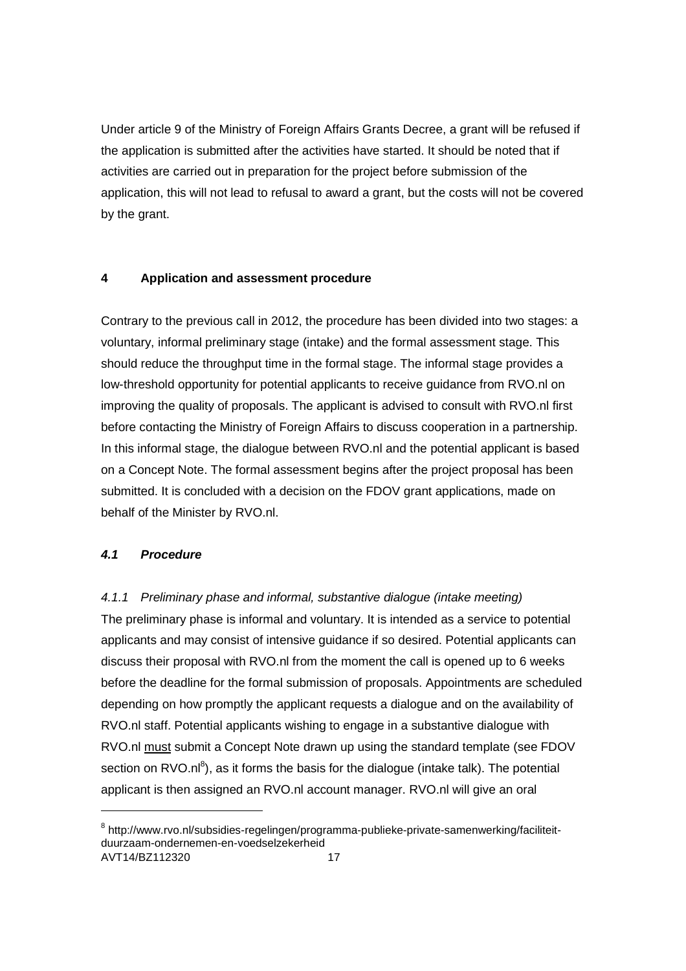Under article 9 of the Ministry of Foreign Affairs Grants Decree, a grant will be refused if the application is submitted after the activities have started. It should be noted that if activities are carried out in preparation for the project before submission of the application, this will not lead to refusal to award a grant, but the costs will not be covered by the grant.

### **4 Application and assessment procedure**

Contrary to the previous call in 2012, the procedure has been divided into two stages: a voluntary, informal preliminary stage (intake) and the formal assessment stage. This should reduce the throughput time in the formal stage. The informal stage provides a low-threshold opportunity for potential applicants to receive guidance from RVO.nl on improving the quality of proposals. The applicant is advised to consult with RVO.nl first before contacting the Ministry of Foreign Affairs to discuss cooperation in a partnership. In this informal stage, the dialogue between RVO.nl and the potential applicant is based on a Concept Note. The formal assessment begins after the project proposal has been submitted. It is concluded with a decision on the FDOV grant applications, made on behalf of the Minister by RVO.nl.

### **4.1 Procedure**

-

4.1.1 Preliminary phase and informal, substantive dialogue (intake meeting) The preliminary phase is informal and voluntary. It is intended as a service to potential applicants and may consist of intensive guidance if so desired. Potential applicants can discuss their proposal with RVO.nl from the moment the call is opened up to 6 weeks before the deadline for the formal submission of proposals. Appointments are scheduled depending on how promptly the applicant requests a dialogue and on the availability of RVO.nl staff. Potential applicants wishing to engage in a substantive dialogue with RVO.nl must submit a Concept Note drawn up using the standard template (see FDOV section on RVO.nl<sup>8</sup>), as it forms the basis for the dialogue (intake talk). The potential applicant is then assigned an RVO.nl account manager. RVO.nl will give an oral

AVT14/BZ112320 17 <sup>8</sup> http://www.rvo.nl/subsidies-regelingen/programma-publieke-private-samenwerking/faciliteitduurzaam-ondernemen-en-voedselzekerheid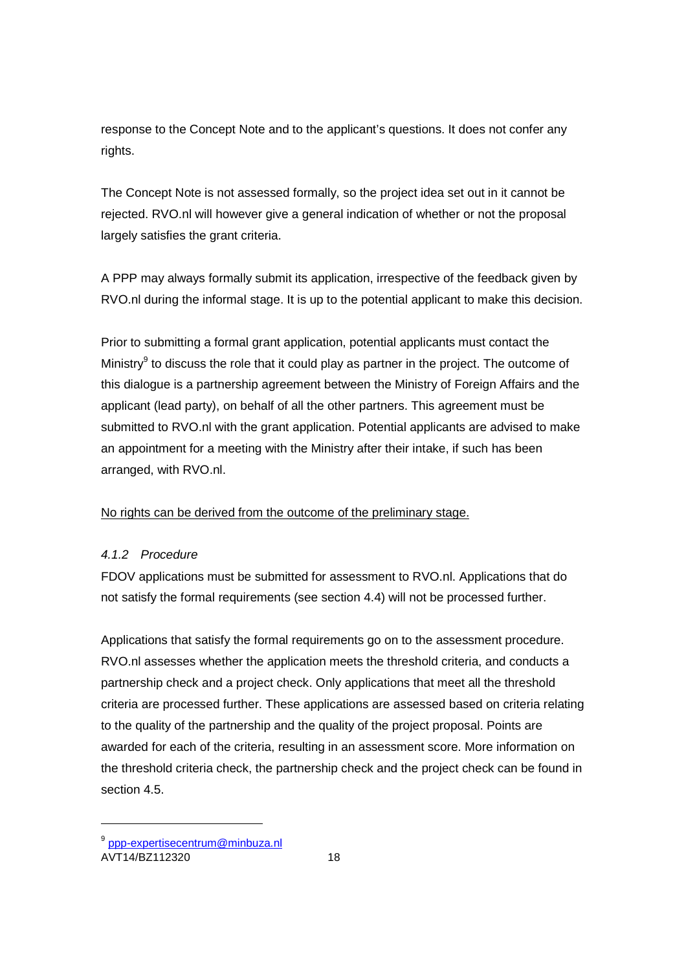response to the Concept Note and to the applicant's questions. It does not confer any rights.

The Concept Note is not assessed formally, so the project idea set out in it cannot be rejected. RVO.nl will however give a general indication of whether or not the proposal largely satisfies the grant criteria.

A PPP may always formally submit its application, irrespective of the feedback given by RVO.nl during the informal stage. It is up to the potential applicant to make this decision.

Prior to submitting a formal grant application, potential applicants must contact the Ministry<sup>9</sup> to discuss the role that it could play as partner in the project. The outcome of this dialogue is a partnership agreement between the Ministry of Foreign Affairs and the applicant (lead party), on behalf of all the other partners. This agreement must be submitted to RVO.nl with the grant application. Potential applicants are advised to make an appointment for a meeting with the Ministry after their intake, if such has been arranged, with RVO.nl.

No rights can be derived from the outcome of the preliminary stage.

# 4.1.2 Procedure

FDOV applications must be submitted for assessment to RVO.nl. Applications that do not satisfy the formal requirements (see section 4.4) will not be processed further.

Applications that satisfy the formal requirements go on to the assessment procedure. RVO.nl assesses whether the application meets the threshold criteria, and conducts a partnership check and a project check. Only applications that meet all the threshold criteria are processed further. These applications are assessed based on criteria relating to the quality of the partnership and the quality of the project proposal. Points are awarded for each of the criteria, resulting in an assessment score. More information on the threshold criteria check, the partnership check and the project check can be found in section 4.5.

1

<sup>&</sup>lt;sup>9</sup> ppp-expertisecentrum@minbuza.nl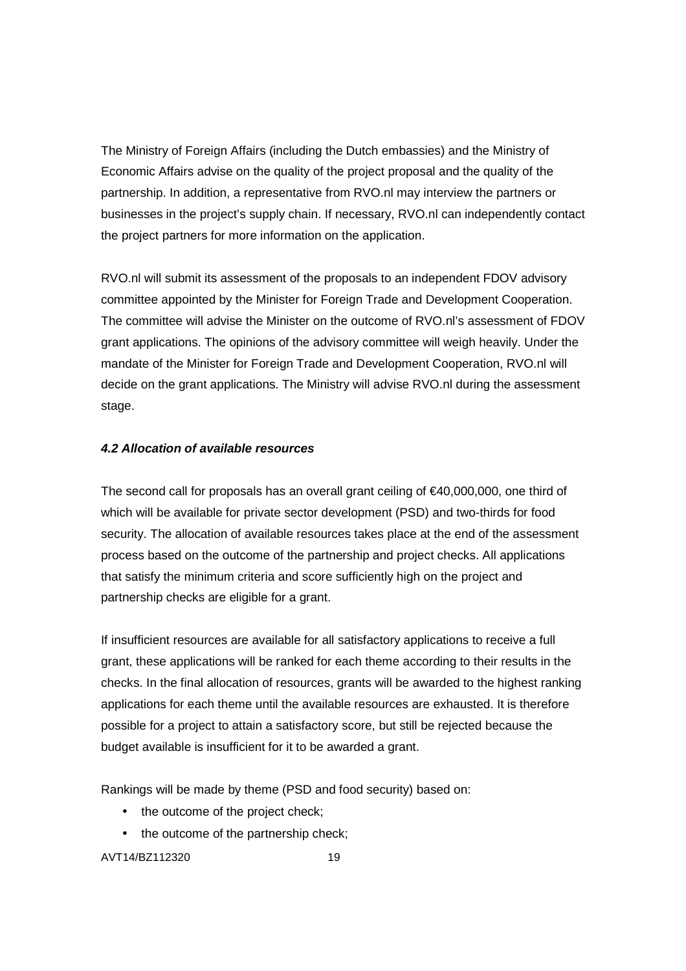The Ministry of Foreign Affairs (including the Dutch embassies) and the Ministry of Economic Affairs advise on the quality of the project proposal and the quality of the partnership. In addition, a representative from RVO.nl may interview the partners or businesses in the project's supply chain. If necessary, RVO.nl can independently contact the project partners for more information on the application.

RVO.nl will submit its assessment of the proposals to an independent FDOV advisory committee appointed by the Minister for Foreign Trade and Development Cooperation. The committee will advise the Minister on the outcome of RVO.nl's assessment of FDOV grant applications. The opinions of the advisory committee will weigh heavily. Under the mandate of the Minister for Foreign Trade and Development Cooperation, RVO.nl will decide on the grant applications. The Ministry will advise RVO.nl during the assessment stage.

# **4.2 Allocation of available resources**

The second call for proposals has an overall grant ceiling of  $\epsilon$ 40,000,000, one third of which will be available for private sector development (PSD) and two-thirds for food security. The allocation of available resources takes place at the end of the assessment process based on the outcome of the partnership and project checks. All applications that satisfy the minimum criteria and score sufficiently high on the project and partnership checks are eligible for a grant.

If insufficient resources are available for all satisfactory applications to receive a full grant, these applications will be ranked for each theme according to their results in the checks. In the final allocation of resources, grants will be awarded to the highest ranking applications for each theme until the available resources are exhausted. It is therefore possible for a project to attain a satisfactory score, but still be rejected because the budget available is insufficient for it to be awarded a grant.

Rankings will be made by theme (PSD and food security) based on:

- the outcome of the project check;
- the outcome of the partnership check;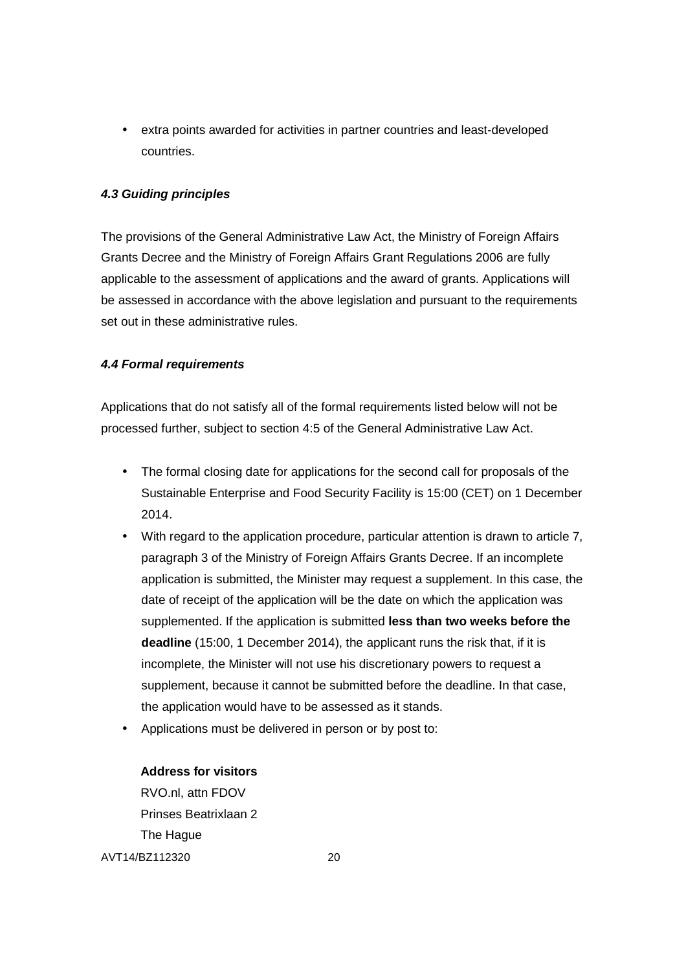• extra points awarded for activities in partner countries and least-developed countries.

# **4.3 Guiding principles**

The provisions of the General Administrative Law Act, the Ministry of Foreign Affairs Grants Decree and the Ministry of Foreign Affairs Grant Regulations 2006 are fully applicable to the assessment of applications and the award of grants. Applications will be assessed in accordance with the above legislation and pursuant to the requirements set out in these administrative rules.

# **4.4 Formal requirements**

Applications that do not satisfy all of the formal requirements listed below will not be processed further, subject to section 4:5 of the General Administrative Law Act.

- The formal closing date for applications for the second call for proposals of the Sustainable Enterprise and Food Security Facility is 15:00 (CET) on 1 December 2014.
- With regard to the application procedure, particular attention is drawn to article 7, paragraph 3 of the Ministry of Foreign Affairs Grants Decree. If an incomplete application is submitted, the Minister may request a supplement. In this case, the date of receipt of the application will be the date on which the application was supplemented. If the application is submitted **less than two weeks before the deadline** (15:00, 1 December 2014), the applicant runs the risk that, if it is incomplete, the Minister will not use his discretionary powers to request a supplement, because it cannot be submitted before the deadline. In that case, the application would have to be assessed as it stands.
- Applications must be delivered in person or by post to:

# **Address for visitors**

AVT14/BZ112320 20 RVO.nl, attn FDOV Prinses Beatrixlaan 2 The Hague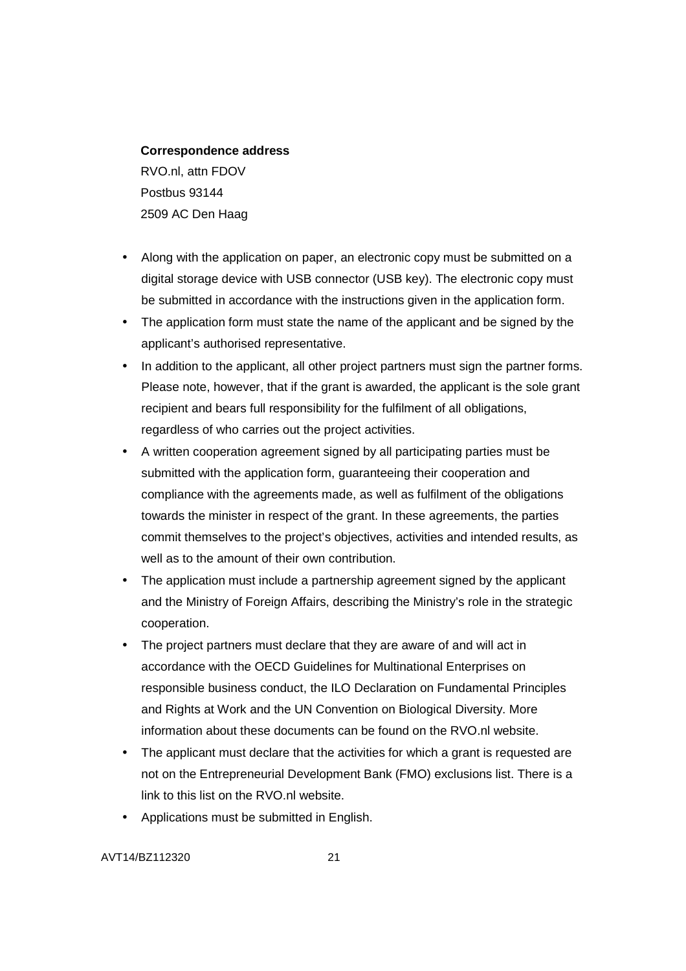#### **Correspondence address**

RVO.nl, attn FDOV Postbus 93144 2509 AC Den Haag

- Along with the application on paper, an electronic copy must be submitted on a digital storage device with USB connector (USB key). The electronic copy must be submitted in accordance with the instructions given in the application form.
- The application form must state the name of the applicant and be signed by the applicant's authorised representative.
- In addition to the applicant, all other project partners must sign the partner forms. Please note, however, that if the grant is awarded, the applicant is the sole grant recipient and bears full responsibility for the fulfilment of all obligations, regardless of who carries out the project activities.
- A written cooperation agreement signed by all participating parties must be submitted with the application form, guaranteeing their cooperation and compliance with the agreements made, as well as fulfilment of the obligations towards the minister in respect of the grant. In these agreements, the parties commit themselves to the project's objectives, activities and intended results, as well as to the amount of their own contribution.
- The application must include a partnership agreement signed by the applicant and the Ministry of Foreign Affairs, describing the Ministry's role in the strategic cooperation.
- The project partners must declare that they are aware of and will act in accordance with the OECD Guidelines for Multinational Enterprises on responsible business conduct, the ILO Declaration on Fundamental Principles and Rights at Work and the UN Convention on Biological Diversity. More information about these documents can be found on the RVO.nl website.
- The applicant must declare that the activities for which a grant is requested are not on the Entrepreneurial Development Bank (FMO) exclusions list. There is a link to this list on the RVO.nl website.
- Applications must be submitted in English.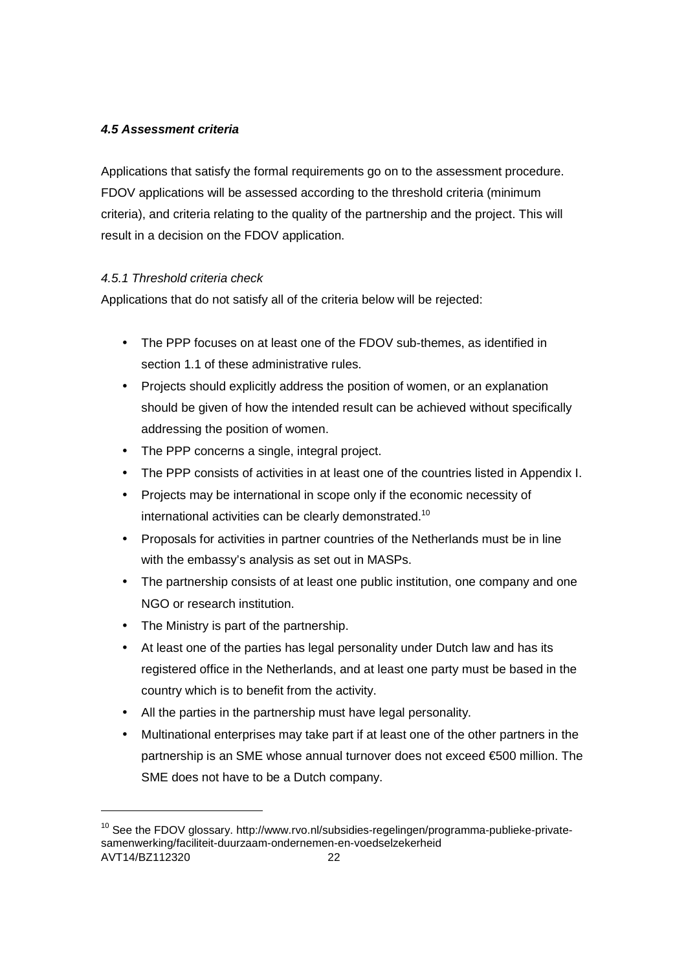# **4.5 Assessment criteria**

Applications that satisfy the formal requirements go on to the assessment procedure. FDOV applications will be assessed according to the threshold criteria (minimum criteria), and criteria relating to the quality of the partnership and the project. This will result in a decision on the FDOV application.

# 4.5.1 Threshold criteria check

Applications that do not satisfy all of the criteria below will be rejected:

- The PPP focuses on at least one of the FDOV sub-themes, as identified in section 1.1 of these administrative rules.
- Projects should explicitly address the position of women, or an explanation should be given of how the intended result can be achieved without specifically addressing the position of women.
- The PPP concerns a single, integral project.
- The PPP consists of activities in at least one of the countries listed in Appendix I.
- Projects may be international in scope only if the economic necessity of international activities can be clearly demonstrated.<sup>10</sup>
- Proposals for activities in partner countries of the Netherlands must be in line with the embassy's analysis as set out in MASPs.
- The partnership consists of at least one public institution, one company and one NGO or research institution.
- The Ministry is part of the partnership.
- At least one of the parties has legal personality under Dutch law and has its registered office in the Netherlands, and at least one party must be based in the country which is to benefit from the activity.
- All the parties in the partnership must have legal personality.
- Multinational enterprises may take part if at least one of the other partners in the partnership is an SME whose annual turnover does not exceed €500 million. The SME does not have to be a Dutch company.

-

AVT14/BZ112320 22 <sup>10</sup> See the FDOV alossary. http://www.rvo.nl/subsidies-regelingen/programma-publieke-privatesamenwerking/faciliteit-duurzaam-ondernemen-en-voedselzekerheid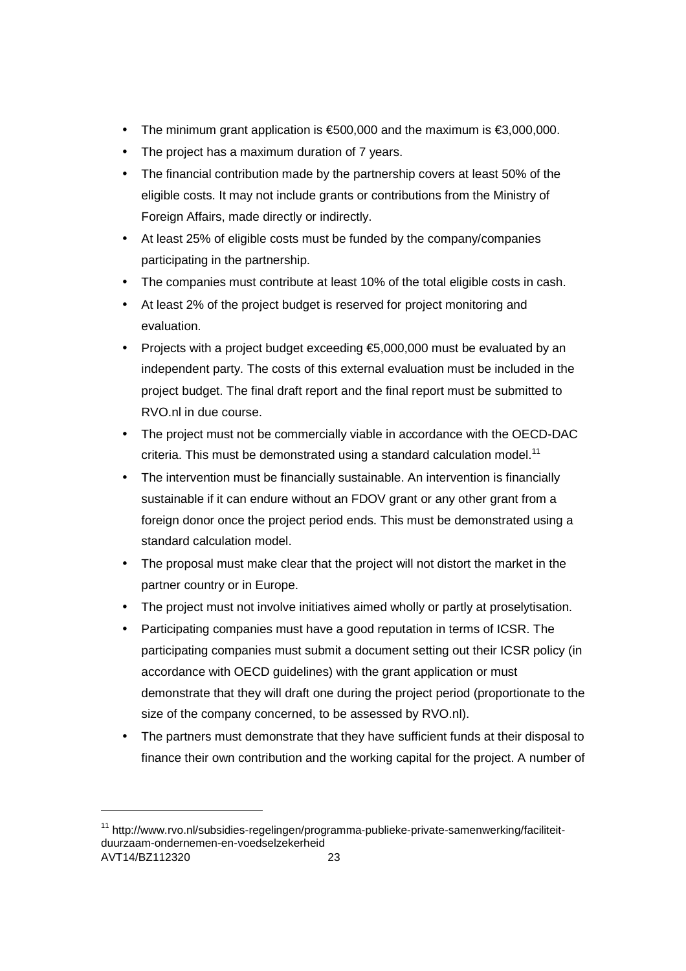- The minimum grant application is €500,000 and the maximum is €3,000,000.
- The project has a maximum duration of 7 years.
- The financial contribution made by the partnership covers at least 50% of the eligible costs. It may not include grants or contributions from the Ministry of Foreign Affairs, made directly or indirectly.
- At least 25% of eligible costs must be funded by the company/companies participating in the partnership.
- The companies must contribute at least 10% of the total eligible costs in cash.
- At least 2% of the project budget is reserved for project monitoring and evaluation.
- Projects with a project budget exceeding €5,000,000 must be evaluated by an independent party. The costs of this external evaluation must be included in the project budget. The final draft report and the final report must be submitted to RVO.nl in due course.
- The project must not be commercially viable in accordance with the OECD-DAC criteria. This must be demonstrated using a standard calculation model.<sup>11</sup>
- The intervention must be financially sustainable. An intervention is financially sustainable if it can endure without an FDOV grant or any other grant from a foreign donor once the project period ends. This must be demonstrated using a standard calculation model.
- The proposal must make clear that the project will not distort the market in the partner country or in Europe.
- The project must not involve initiatives aimed wholly or partly at proselytisation.
- Participating companies must have a good reputation in terms of ICSR. The participating companies must submit a document setting out their ICSR policy (in accordance with OECD guidelines) with the grant application or must demonstrate that they will draft one during the project period (proportionate to the size of the company concerned, to be assessed by RVO.nl).
- The partners must demonstrate that they have sufficient funds at their disposal to finance their own contribution and the working capital for the project. A number of

-

AVT14/BZ112320 23 <sup>11</sup> http://www.rvo.nl/subsidies-regelingen/programma-publieke-private-samenwerking/faciliteitduurzaam-ondernemen-en-voedselzekerheid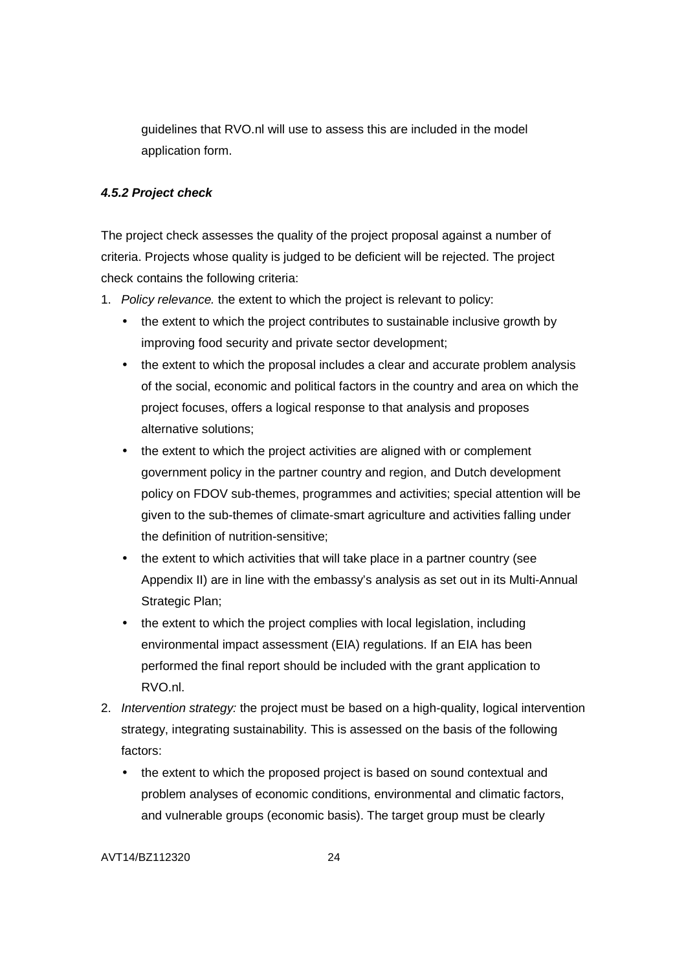guidelines that RVO.nl will use to assess this are included in the model application form.

# **4.5.2 Project check**

The project check assesses the quality of the project proposal against a number of criteria. Projects whose quality is judged to be deficient will be rejected. The project check contains the following criteria:

- 1. Policy relevance. the extent to which the project is relevant to policy:
	- the extent to which the project contributes to sustainable inclusive growth by improving food security and private sector development;
	- the extent to which the proposal includes a clear and accurate problem analysis of the social, economic and political factors in the country and area on which the project focuses, offers a logical response to that analysis and proposes alternative solutions;
	- the extent to which the project activities are aligned with or complement government policy in the partner country and region, and Dutch development policy on FDOV sub-themes, programmes and activities; special attention will be given to the sub-themes of climate-smart agriculture and activities falling under the definition of nutrition-sensitive;
	- the extent to which activities that will take place in a partner country (see Appendix II) are in line with the embassy's analysis as set out in its Multi-Annual Strategic Plan;
	- the extent to which the project complies with local legislation, including environmental impact assessment (EIA) regulations. If an EIA has been performed the final report should be included with the grant application to RVO.nl.
- 2. Intervention strategy: the project must be based on a high-quality, logical intervention strategy, integrating sustainability. This is assessed on the basis of the following factors:
	- the extent to which the proposed project is based on sound contextual and problem analyses of economic conditions, environmental and climatic factors, and vulnerable groups (economic basis). The target group must be clearly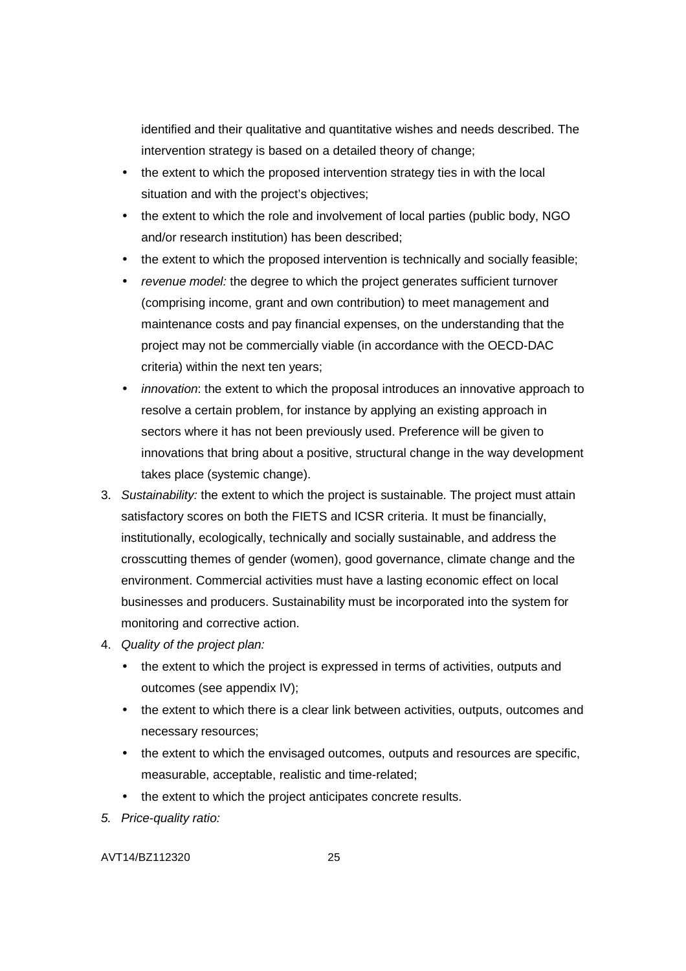identified and their qualitative and quantitative wishes and needs described. The intervention strategy is based on a detailed theory of change;

- the extent to which the proposed intervention strategy ties in with the local situation and with the project's objectives;
- the extent to which the role and involvement of local parties (public body, NGO and/or research institution) has been described;
- the extent to which the proposed intervention is technically and socially feasible;
- revenue model: the degree to which the project generates sufficient turnover (comprising income, grant and own contribution) to meet management and maintenance costs and pay financial expenses, on the understanding that the project may not be commercially viable (in accordance with the OECD-DAC criteria) within the next ten years;
- *innovation*: the extent to which the proposal introduces an innovative approach to resolve a certain problem, for instance by applying an existing approach in sectors where it has not been previously used. Preference will be given to innovations that bring about a positive, structural change in the way development takes place (systemic change).
- 3. Sustainability: the extent to which the project is sustainable. The project must attain satisfactory scores on both the FIETS and ICSR criteria. It must be financially, institutionally, ecologically, technically and socially sustainable, and address the crosscutting themes of gender (women), good governance, climate change and the environment. Commercial activities must have a lasting economic effect on local businesses and producers. Sustainability must be incorporated into the system for monitoring and corrective action.
- 4. Quality of the project plan:
	- the extent to which the project is expressed in terms of activities, outputs and outcomes (see appendix IV);
	- the extent to which there is a clear link between activities, outputs, outcomes and necessary resources;
	- the extent to which the envisaged outcomes, outputs and resources are specific. measurable, acceptable, realistic and time-related;
	- the extent to which the project anticipates concrete results.
- 5. Price-quality ratio: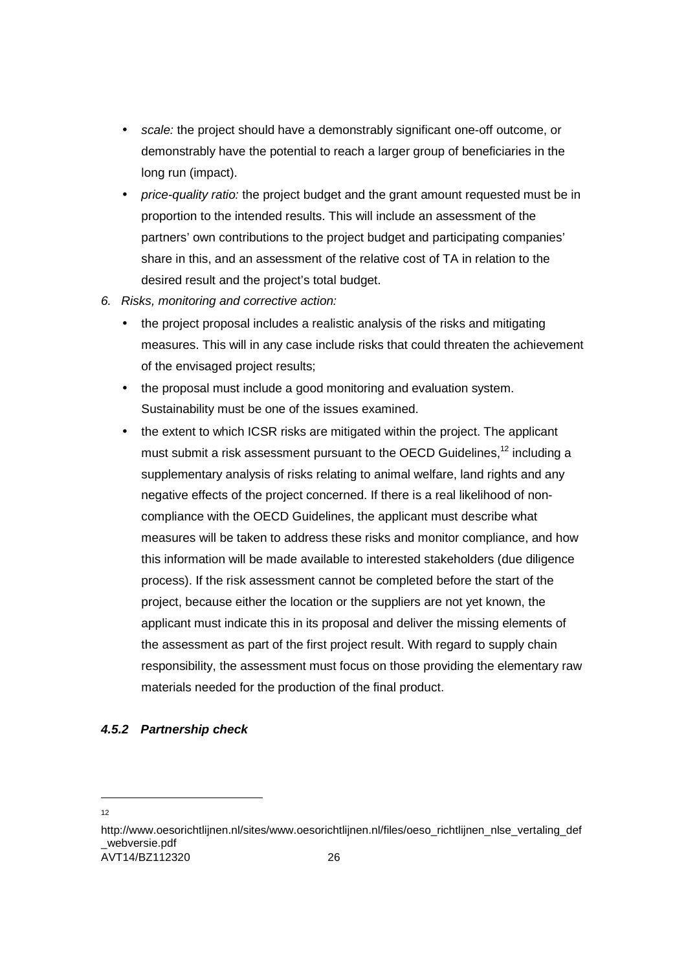- scale: the project should have a demonstrably significant one-off outcome, or demonstrably have the potential to reach a larger group of beneficiaries in the long run (impact).
- *price-quality ratio:* the project budget and the grant amount requested must be in proportion to the intended results. This will include an assessment of the partners' own contributions to the project budget and participating companies' share in this, and an assessment of the relative cost of TA in relation to the desired result and the project's total budget.
- 6. Risks, monitoring and corrective action:
	- the project proposal includes a realistic analysis of the risks and mitigating measures. This will in any case include risks that could threaten the achievement of the envisaged project results;
	- the proposal must include a good monitoring and evaluation system. Sustainability must be one of the issues examined.
	- the extent to which ICSR risks are mitigated within the project. The applicant must submit a risk assessment pursuant to the OECD Guidelines,<sup>12</sup> including a supplementary analysis of risks relating to animal welfare, land rights and any negative effects of the project concerned. If there is a real likelihood of noncompliance with the OECD Guidelines, the applicant must describe what measures will be taken to address these risks and monitor compliance, and how this information will be made available to interested stakeholders (due diligence process). If the risk assessment cannot be completed before the start of the project, because either the location or the suppliers are not yet known, the applicant must indicate this in its proposal and deliver the missing elements of the assessment as part of the first project result. With regard to supply chain responsibility, the assessment must focus on those providing the elementary raw materials needed for the production of the final product.

### **4.5.2 Partnership check**

-12

AVT14/BZ112320 26 http://www.oesorichtlijnen.nl/sites/www.oesorichtlijnen.nl/files/oeso\_richtlijnen\_nlse\_vertaling\_def \_webversie.pdf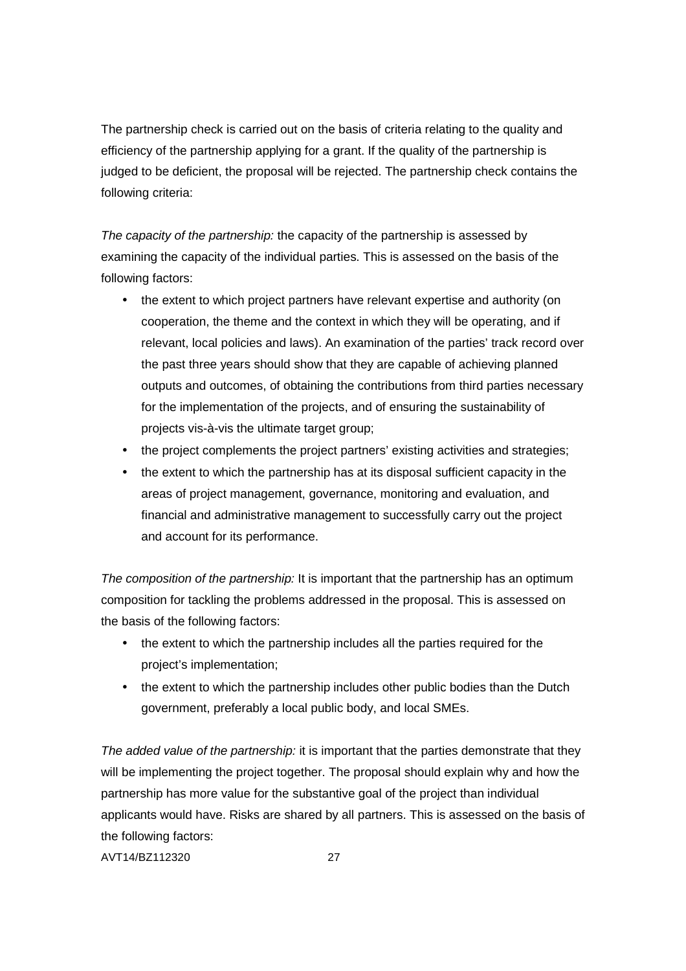The partnership check is carried out on the basis of criteria relating to the quality and efficiency of the partnership applying for a grant. If the quality of the partnership is judged to be deficient, the proposal will be rejected. The partnership check contains the following criteria:

The capacity of the partnership: the capacity of the partnership is assessed by examining the capacity of the individual parties. This is assessed on the basis of the following factors:

- the extent to which project partners have relevant expertise and authority (on cooperation, the theme and the context in which they will be operating, and if relevant, local policies and laws). An examination of the parties' track record over the past three years should show that they are capable of achieving planned outputs and outcomes, of obtaining the contributions from third parties necessary for the implementation of the projects, and of ensuring the sustainability of projects vis-à-vis the ultimate target group;
- the project complements the project partners' existing activities and strategies;
- the extent to which the partnership has at its disposal sufficient capacity in the areas of project management, governance, monitoring and evaluation, and financial and administrative management to successfully carry out the project and account for its performance.

The composition of the partnership: It is important that the partnership has an optimum composition for tackling the problems addressed in the proposal. This is assessed on the basis of the following factors:

- the extent to which the partnership includes all the parties required for the project's implementation;
- the extent to which the partnership includes other public bodies than the Dutch government, preferably a local public body, and local SMEs.

The added value of the partnership: it is important that the parties demonstrate that they will be implementing the project together. The proposal should explain why and how the partnership has more value for the substantive goal of the project than individual applicants would have. Risks are shared by all partners. This is assessed on the basis of the following factors: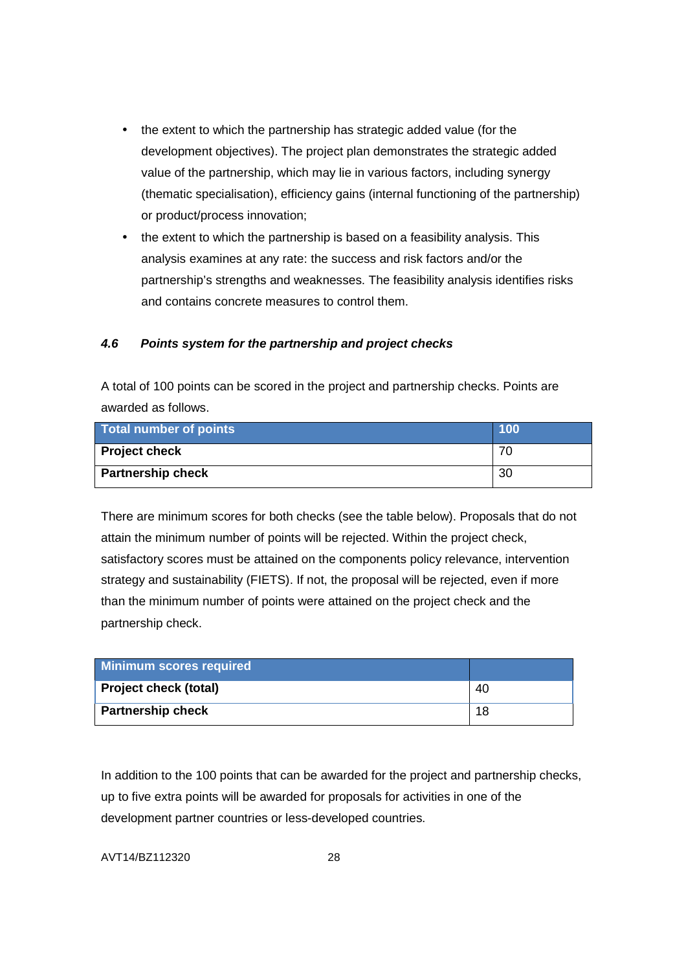- the extent to which the partnership has strategic added value (for the development objectives). The project plan demonstrates the strategic added value of the partnership, which may lie in various factors, including synergy (thematic specialisation), efficiency gains (internal functioning of the partnership) or product/process innovation;
- the extent to which the partnership is based on a feasibility analysis. This analysis examines at any rate: the success and risk factors and/or the partnership's strengths and weaknesses. The feasibility analysis identifies risks and contains concrete measures to control them.

# **4.6 Points system for the partnership and project checks**

A total of 100 points can be scored in the project and partnership checks. Points are awarded as follows.

| <b>Total number of points</b> | 100 |
|-------------------------------|-----|
| <b>Project check</b>          |     |
| <b>Partnership check</b>      | 30  |

There are minimum scores for both checks (see the table below). Proposals that do not attain the minimum number of points will be rejected. Within the project check, satisfactory scores must be attained on the components policy relevance, intervention strategy and sustainability (FIETS). If not, the proposal will be rejected, even if more than the minimum number of points were attained on the project check and the partnership check.

| Minimum scores required      |    |
|------------------------------|----|
| <b>Project check (total)</b> | 40 |
| <b>Partnership check</b>     | 18 |

In addition to the 100 points that can be awarded for the project and partnership checks, up to five extra points will be awarded for proposals for activities in one of the development partner countries or less-developed countries.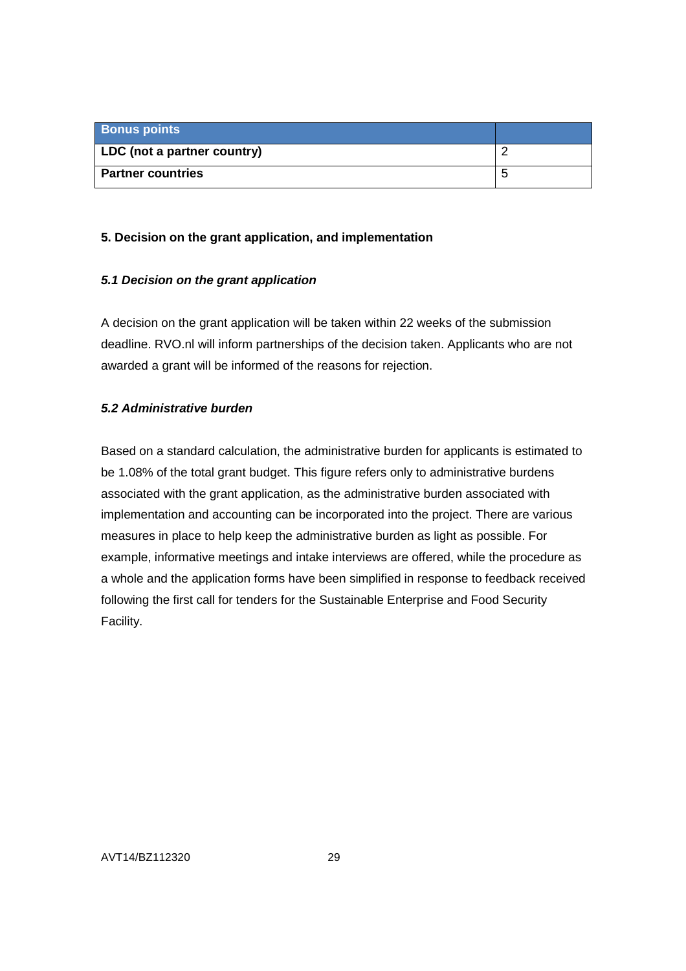| <b>Bonus points</b>         |  |
|-----------------------------|--|
| LDC (not a partner country) |  |
| <b>Partner countries</b>    |  |

# **5. Decision on the grant application, and implementation**

# **5.1 Decision on the grant application**

A decision on the grant application will be taken within 22 weeks of the submission deadline. RVO.nl will inform partnerships of the decision taken. Applicants who are not awarded a grant will be informed of the reasons for rejection.

# **5.2 Administrative burden**

Based on a standard calculation, the administrative burden for applicants is estimated to be 1.08% of the total grant budget. This figure refers only to administrative burdens associated with the grant application, as the administrative burden associated with implementation and accounting can be incorporated into the project. There are various measures in place to help keep the administrative burden as light as possible. For example, informative meetings and intake interviews are offered, while the procedure as a whole and the application forms have been simplified in response to feedback received following the first call for tenders for the Sustainable Enterprise and Food Security Facility.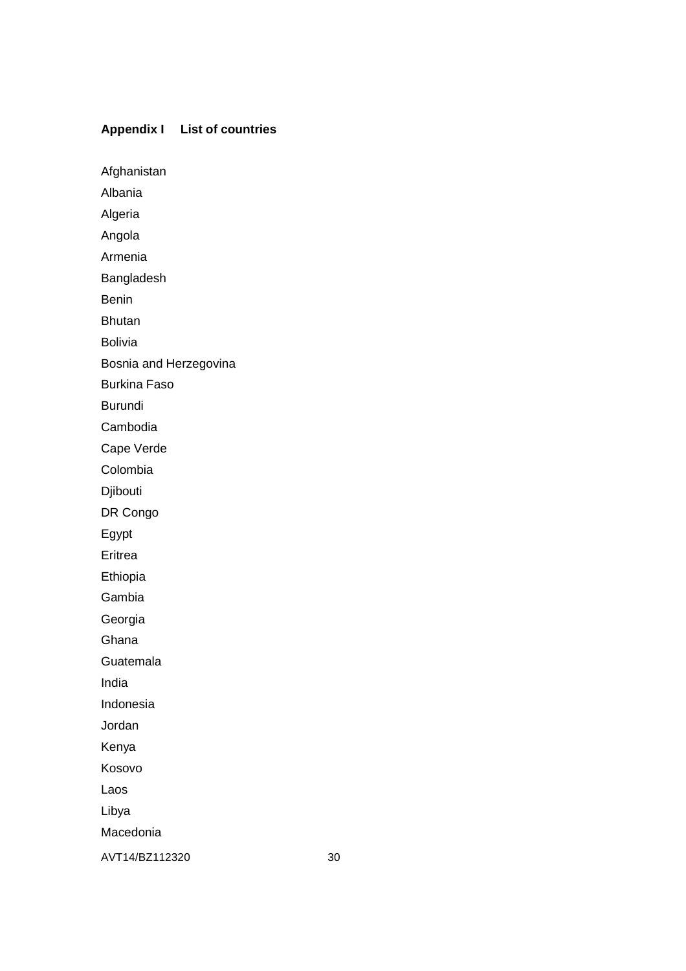# **Appendix I List of countries**

Afghanistan

Albania Algeria

Angola

Armenia

Bangladesh

Benin

Bhutan

Bolivia

Bosnia and Herzegovina

Burkina Faso

Burundi

Cambodia

Cape Verde

Colombia

Djibouti

DR Congo

Egypt

Eritrea

Ethiopia

Gambia

Georgia

Ghana

Guatemala

India

Indonesia

Jordan

Kenya

Kosovo

Laos

Libya

Macedonia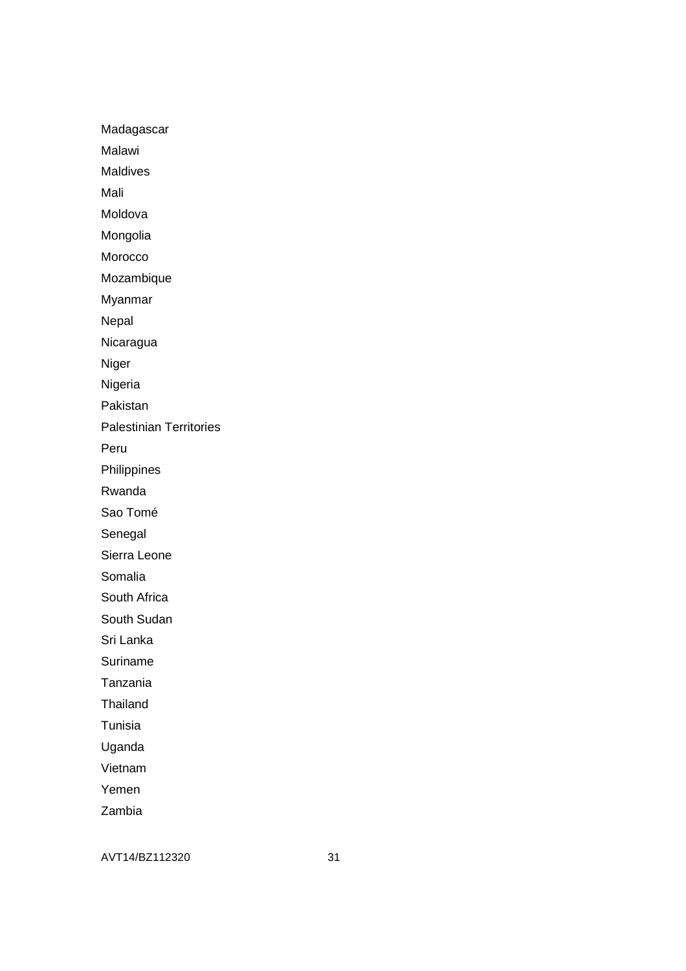Madagascar

Malawi

Maldives

Mali

Moldova

Mongolia

Morocco

Mozambique

Myanmar

Nepal

Nicaragua

Niger

Nigeria

Pakistan

Palestinian Territories

Peru

Philippines

Rwanda

Sao Tomé

Senegal

Sierra Leone

Somalia

South Africa

South Sudan

Sri Lanka

Suriname

Tanzania

Thailand

Tunisia

Uganda

Vietnam

Yemen

Zambia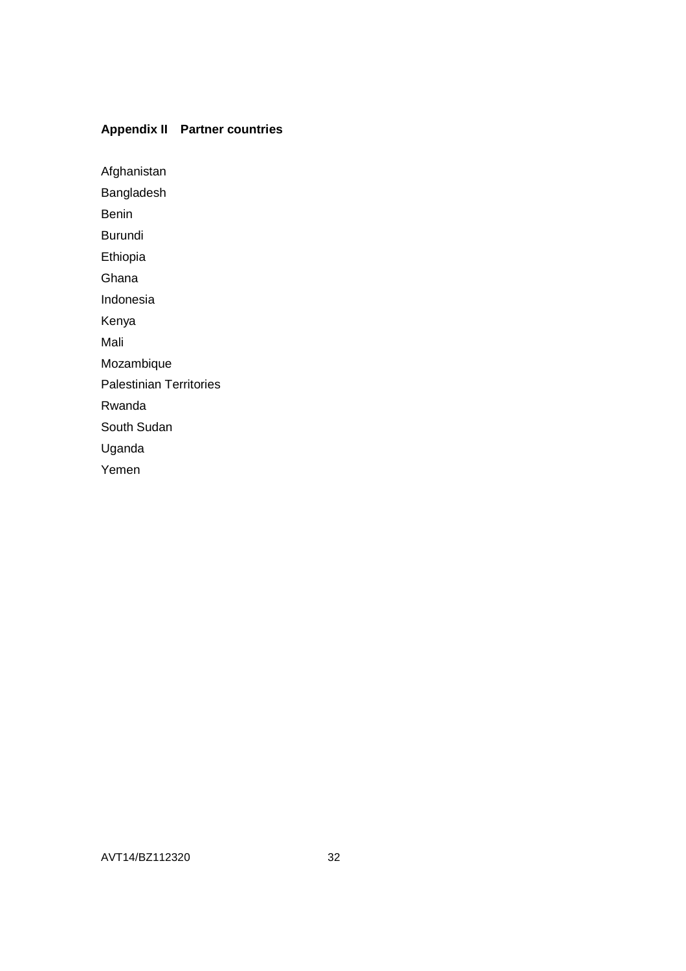# **Appendix II Partner countries**

Afghanistan

Bangladesh

Benin

Burundi

Ethiopia

Ghana

Indonesia

Kenya

Mali

Mozambique

Palestinian Territories

Rwanda

South Sudan

Uganda

Yemen